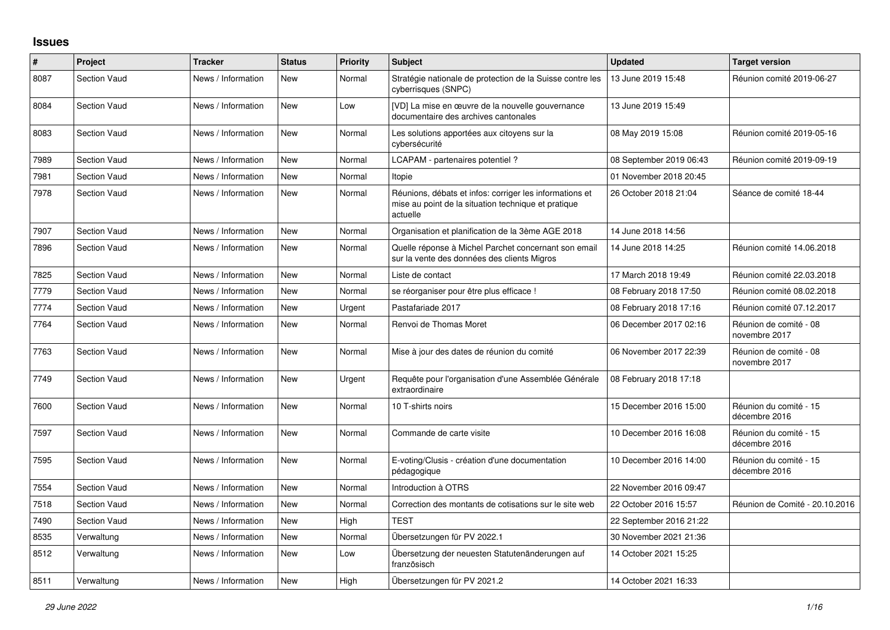## **Issues**

| #    | Project             | <b>Tracker</b>     | <b>Status</b> | <b>Priority</b> | <b>Subject</b>                                                                                                             | <b>Updated</b>          | <b>Target version</b>                   |
|------|---------------------|--------------------|---------------|-----------------|----------------------------------------------------------------------------------------------------------------------------|-------------------------|-----------------------------------------|
| 8087 | <b>Section Vaud</b> | News / Information | <b>New</b>    | Normal          | Stratégie nationale de protection de la Suisse contre les<br>cyberrisques (SNPC)                                           | 13 June 2019 15:48      | Réunion comité 2019-06-27               |
| 8084 | <b>Section Vaud</b> | News / Information | <b>New</b>    | Low             | [VD] La mise en œuvre de la nouvelle gouvernance<br>documentaire des archives cantonales                                   | 13 June 2019 15:49      |                                         |
| 8083 | <b>Section Vaud</b> | News / Information | <b>New</b>    | Normal          | Les solutions apportées aux citoyens sur la<br>cybersécurité                                                               | 08 May 2019 15:08       | Réunion comité 2019-05-16               |
| 7989 | <b>Section Vaud</b> | News / Information | <b>New</b>    | Normal          | LCAPAM - partenaires potentiel?                                                                                            | 08 September 2019 06:43 | Réunion comité 2019-09-19               |
| 7981 | <b>Section Vaud</b> | News / Information | <b>New</b>    | Normal          | Itopie                                                                                                                     | 01 November 2018 20:45  |                                         |
| 7978 | <b>Section Vaud</b> | News / Information | <b>New</b>    | Normal          | Réunions, débats et infos: corriger les informations et<br>mise au point de la situation technique et pratique<br>actuelle | 26 October 2018 21:04   | Séance de comité 18-44                  |
| 7907 | <b>Section Vaud</b> | News / Information | <b>New</b>    | Normal          | Organisation et planification de la 3ème AGE 2018                                                                          | 14 June 2018 14:56      |                                         |
| 7896 | <b>Section Vaud</b> | News / Information | <b>New</b>    | Normal          | Quelle réponse à Michel Parchet concernant son email<br>sur la vente des données des clients Migros                        | 14 June 2018 14:25      | Réunion comité 14.06.2018               |
| 7825 | Section Vaud        | News / Information | <b>New</b>    | Normal          | Liste de contact                                                                                                           | 17 March 2018 19:49     | Réunion comité 22.03.2018               |
| 7779 | <b>Section Vaud</b> | News / Information | <b>New</b>    | Normal          | se réorganiser pour être plus efficace !                                                                                   | 08 February 2018 17:50  | Réunion comité 08.02.2018               |
| 7774 | <b>Section Vaud</b> | News / Information | <b>New</b>    | Urgent          | Pastafariade 2017                                                                                                          | 08 February 2018 17:16  | Réunion comité 07.12.2017               |
| 7764 | <b>Section Vaud</b> | News / Information | <b>New</b>    | Normal          | Renvoi de Thomas Moret                                                                                                     | 06 December 2017 02:16  | Réunion de comité - 08<br>novembre 2017 |
| 7763 | <b>Section Vaud</b> | News / Information | <b>New</b>    | Normal          | Mise à jour des dates de réunion du comité                                                                                 | 06 November 2017 22:39  | Réunion de comité - 08<br>novembre 2017 |
| 7749 | <b>Section Vaud</b> | News / Information | <b>New</b>    | Urgent          | Requête pour l'organisation d'une Assemblée Générale<br>extraordinaire                                                     | 08 February 2018 17:18  |                                         |
| 7600 | <b>Section Vaud</b> | News / Information | <b>New</b>    | Normal          | 10 T-shirts noirs                                                                                                          | 15 December 2016 15:00  | Réunion du comité - 15<br>décembre 2016 |
| 7597 | <b>Section Vaud</b> | News / Information | <b>New</b>    | Normal          | Commande de carte visite                                                                                                   | 10 December 2016 16:08  | Réunion du comité - 15<br>décembre 2016 |
| 7595 | <b>Section Vaud</b> | News / Information | <b>New</b>    | Normal          | E-voting/Clusis - création d'une documentation<br>pédagogique                                                              | 10 December 2016 14:00  | Réunion du comité - 15<br>décembre 2016 |
| 7554 | <b>Section Vaud</b> | News / Information | <b>New</b>    | Normal          | Introduction à OTRS                                                                                                        | 22 November 2016 09:47  |                                         |
| 7518 | <b>Section Vaud</b> | News / Information | <b>New</b>    | Normal          | Correction des montants de cotisations sur le site web                                                                     | 22 October 2016 15:57   | Réunion de Comité - 20.10.2016          |
| 7490 | <b>Section Vaud</b> | News / Information | <b>New</b>    | High            | <b>TEST</b>                                                                                                                | 22 September 2016 21:22 |                                         |
| 8535 | Verwaltung          | News / Information | <b>New</b>    | Normal          | Übersetzungen für PV 2022.1                                                                                                | 30 November 2021 21:36  |                                         |
| 8512 | Verwaltung          | News / Information | New           | Low             | Übersetzung der neuesten Statutenänderungen auf<br>französisch                                                             | 14 October 2021 15:25   |                                         |
| 8511 | Verwaltung          | News / Information | <b>New</b>    | High            | Übersetzungen für PV 2021.2                                                                                                | 14 October 2021 16:33   |                                         |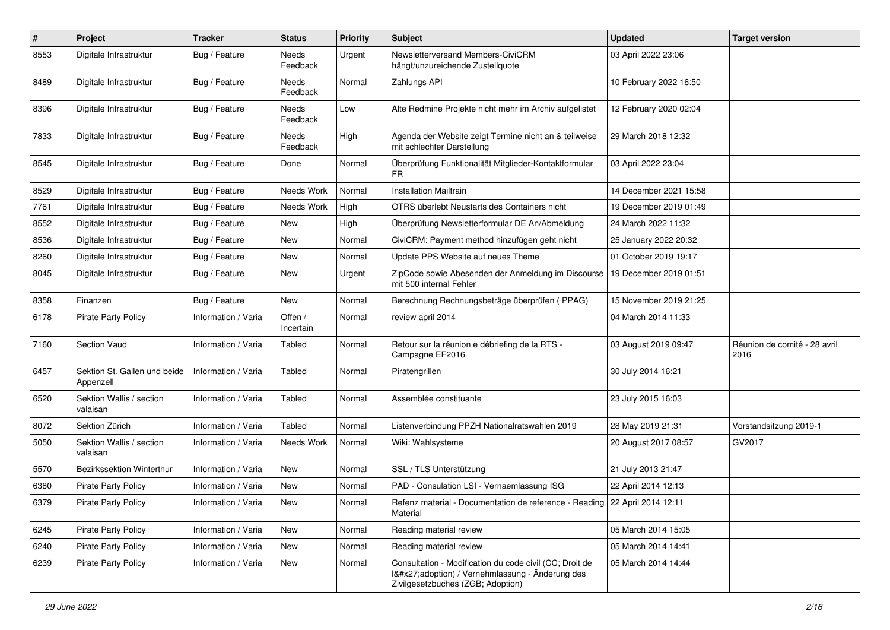| $\pmb{\#}$ | Project                                   | <b>Tracker</b>      | <b>Status</b>        | <b>Priority</b> | <b>Subject</b>                                                                                                                              | <b>Updated</b>         | <b>Target version</b>                |
|------------|-------------------------------------------|---------------------|----------------------|-----------------|---------------------------------------------------------------------------------------------------------------------------------------------|------------------------|--------------------------------------|
| 8553       | Digitale Infrastruktur                    | Bug / Feature       | Needs<br>Feedback    | Urgent          | Newsletterversand Members-CiviCRM<br>hängt/unzureichende Zustellquote                                                                       | 03 April 2022 23:06    |                                      |
| 8489       | Digitale Infrastruktur                    | Bug / Feature       | Needs<br>Feedback    | Normal          | Zahlungs API                                                                                                                                | 10 February 2022 16:50 |                                      |
| 8396       | Digitale Infrastruktur                    | Bug / Feature       | Needs<br>Feedback    | Low             | Alte Redmine Projekte nicht mehr im Archiv aufgelistet                                                                                      | 12 February 2020 02:04 |                                      |
| 7833       | Digitale Infrastruktur                    | Bug / Feature       | Needs<br>Feedback    | High            | Agenda der Website zeigt Termine nicht an & teilweise<br>mit schlechter Darstellung                                                         | 29 March 2018 12:32    |                                      |
| 8545       | Digitale Infrastruktur                    | Bug / Feature       | Done                 | Normal          | Überprüfung Funktionalität Mitglieder-Kontaktformular<br>FR                                                                                 | 03 April 2022 23:04    |                                      |
| 8529       | Digitale Infrastruktur                    | Bug / Feature       | Needs Work           | Normal          | <b>Installation Mailtrain</b>                                                                                                               | 14 December 2021 15:58 |                                      |
| 7761       | Digitale Infrastruktur                    | Bug / Feature       | Needs Work           | High            | OTRS überlebt Neustarts des Containers nicht                                                                                                | 19 December 2019 01:49 |                                      |
| 8552       | Digitale Infrastruktur                    | Bug / Feature       | <b>New</b>           | High            | Überprüfung Newsletterformular DE An/Abmeldung                                                                                              | 24 March 2022 11:32    |                                      |
| 8536       | Digitale Infrastruktur                    | Bug / Feature       | New                  | Normal          | CiviCRM: Payment method hinzufügen geht nicht                                                                                               | 25 January 2022 20:32  |                                      |
| 8260       | Digitale Infrastruktur                    | Bug / Feature       | New                  | Normal          | Update PPS Website auf neues Theme                                                                                                          | 01 October 2019 19:17  |                                      |
| 8045       | Digitale Infrastruktur                    | Bug / Feature       | New                  | Urgent          | ZipCode sowie Abesenden der Anmeldung im Discourse<br>mit 500 internal Fehler                                                               | 19 December 2019 01:51 |                                      |
| 8358       | Finanzen                                  | Bug / Feature       | <b>New</b>           | Normal          | Berechnung Rechnungsbeträge überprüfen (PPAG)                                                                                               | 15 November 2019 21:25 |                                      |
| 6178       | <b>Pirate Party Policy</b>                | Information / Varia | Offen /<br>Incertain | Normal          | review april 2014                                                                                                                           | 04 March 2014 11:33    |                                      |
| 7160       | Section Vaud                              | Information / Varia | Tabled               | Normal          | Retour sur la réunion e débriefing de la RTS -<br>Campagne EF2016                                                                           | 03 August 2019 09:47   | Réunion de comité - 28 avril<br>2016 |
| 6457       | Sektion St. Gallen und beide<br>Appenzell | Information / Varia | Tabled               | Normal          | Piratengrillen                                                                                                                              | 30 July 2014 16:21     |                                      |
| 6520       | Sektion Wallis / section<br>valaisan      | Information / Varia | Tabled               | Normal          | Assemblée constituante                                                                                                                      | 23 July 2015 16:03     |                                      |
| 8072       | Sektion Zürich                            | Information / Varia | Tabled               | Normal          | Listenverbindung PPZH Nationalratswahlen 2019                                                                                               | 28 May 2019 21:31      | Vorstandsitzung 2019-1               |
| 5050       | Sektion Wallis / section<br>valaisan      | Information / Varia | Needs Work           | Normal          | Wiki: Wahlsysteme                                                                                                                           | 20 August 2017 08:57   | GV2017                               |
| 5570       | <b>Bezirkssektion Winterthur</b>          | Information / Varia | New                  | Normal          | SSL / TLS Unterstützung                                                                                                                     | 21 July 2013 21:47     |                                      |
| 6380       | <b>Pirate Party Policy</b>                | Information / Varia | New                  | Normal          | PAD - Consulation LSI - Vernaemlassung ISG                                                                                                  | 22 April 2014 12:13    |                                      |
| 6379       | Pirate Party Policy                       | Information / Varia | New                  | Normal          | Refenz material - Documentation de reference - Reading   22 April 2014 12:11<br>Material                                                    |                        |                                      |
| 6245       | Pirate Party Policy                       | Information / Varia | New                  | Normal          | Reading material review                                                                                                                     | 05 March 2014 15:05    |                                      |
| 6240       | <b>Pirate Party Policy</b>                | Information / Varia | New                  | Normal          | Reading material review                                                                                                                     | 05 March 2014 14:41    |                                      |
| 6239       | <b>Pirate Party Policy</b>                | Information / Varia | New                  | Normal          | Consultation - Modification du code civil (CC; Droit de<br>I'adoption) / Vernehmlassung - Änderung des<br>Zivilgesetzbuches (ZGB; Adoption) | 05 March 2014 14:44    |                                      |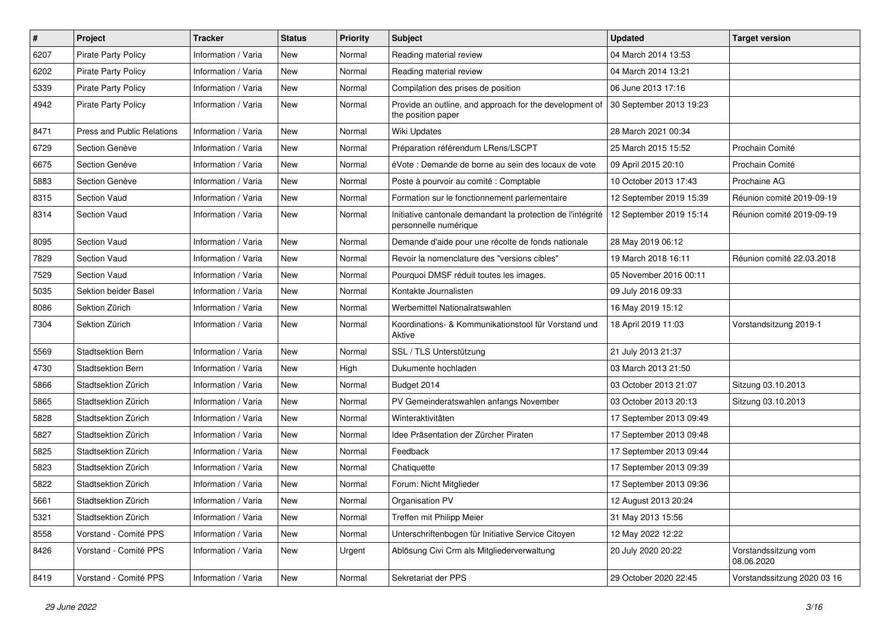| $\pmb{\#}$ | Project                           | <b>Tracker</b>      | <b>Status</b> | <b>Priority</b> | <b>Subject</b>                                                                       | <b>Updated</b>          | <b>Target version</b>              |
|------------|-----------------------------------|---------------------|---------------|-----------------|--------------------------------------------------------------------------------------|-------------------------|------------------------------------|
| 6207       | Pirate Party Policy               | Information / Varia | New           | Normal          | Reading material review                                                              | 04 March 2014 13:53     |                                    |
| 6202       | <b>Pirate Party Policy</b>        | Information / Varia | New           | Normal          | Reading material review                                                              | 04 March 2014 13:21     |                                    |
| 5339       | <b>Pirate Party Policy</b>        | Information / Varia | <b>New</b>    | Normal          | Compilation des prises de position                                                   | 06 June 2013 17:16      |                                    |
| 4942       | <b>Pirate Party Policy</b>        | Information / Varia | New           | Normal          | Provide an outline, and approach for the development of<br>the position paper        | 30 September 2013 19:23 |                                    |
| 8471       | <b>Press and Public Relations</b> | Information / Varia | New           | Normal          | Wiki Updates                                                                         | 28 March 2021 00:34     |                                    |
| 6729       | Section Genève                    | Information / Varia | <b>New</b>    | Normal          | Préparation référendum LRens/LSCPT                                                   | 25 March 2015 15:52     | Prochain Comité                    |
| 6675       | Section Genève                    | Information / Varia | New           | Normal          | éVote : Demande de borne au sein des locaux de vote                                  | 09 April 2015 20:10     | Prochain Comité                    |
| 5883       | Section Genève                    | Information / Varia | New           | Normal          | Poste à pourvoir au comité : Comptable                                               | 10 October 2013 17:43   | Prochaine AG                       |
| 8315       | <b>Section Vaud</b>               | Information / Varia | New           | Normal          | Formation sur le fonctionnement parlementaire                                        | 12 September 2019 15:39 | Réunion comité 2019-09-19          |
| 8314       | <b>Section Vaud</b>               | Information / Varia | New           | Normal          | Initiative cantonale demandant la protection de l'intégrité<br>personnelle numérique | 12 September 2019 15:14 | Réunion comité 2019-09-19          |
| 8095       | <b>Section Vaud</b>               | Information / Varia | <b>New</b>    | Normal          | Demande d'aide pour une récolte de fonds nationale                                   | 28 May 2019 06:12       |                                    |
| 7829       | <b>Section Vaud</b>               | Information / Varia | New           | Normal          | Revoir la nomenclature des "versions cibles"                                         | 19 March 2018 16:11     | Réunion comité 22.03.2018          |
| 7529       | <b>Section Vaud</b>               | Information / Varia | <b>New</b>    | Normal          | Pourquoi DMSF réduit toutes les images.                                              | 05 November 2016 00:11  |                                    |
| 5035       | Sektion beider Basel              | Information / Varia | New           | Normal          | Kontakte Journalisten                                                                | 09 July 2016 09:33      |                                    |
| 8086       | Sektion Zürich                    | Information / Varia | New           | Normal          | Werbemittel Nationalratswahlen                                                       | 16 May 2019 15:12       |                                    |
| 7304       | Sektion Zürich                    | Information / Varia | New           | Normal          | Koordinations- & Kommunikationstool für Vorstand und<br>Aktive                       | 18 April 2019 11:03     | Vorstandsitzung 2019-1             |
| 5569       | <b>Stadtsektion Bern</b>          | Information / Varia | New           | Normal          | SSL / TLS Unterstützung                                                              | 21 July 2013 21:37      |                                    |
| 4730       | <b>Stadtsektion Bern</b>          | Information / Varia | New           | High            | Dukumente hochladen                                                                  | 03 March 2013 21:50     |                                    |
| 5866       | Stadtsektion Zürich               | Information / Varia | New           | Normal          | Budget 2014                                                                          | 03 October 2013 21:07   | Sitzung 03.10.2013                 |
| 5865       | Stadtsektion Zürich               | Information / Varia | New           | Normal          | PV Gemeinderatswahlen anfangs November                                               | 03 October 2013 20:13   | Sitzung 03.10.2013                 |
| 5828       | Stadtsektion Zürich               | Information / Varia | New           | Normal          | Winteraktivitäten                                                                    | 17 September 2013 09:49 |                                    |
| 5827       | Stadtsektion Zürich               | Information / Varia | New           | Normal          | Idee Präsentation der Zürcher Piraten                                                | 17 September 2013 09:48 |                                    |
| 5825       | Stadtsektion Zürich               | Information / Varia | New           | Normal          | Feedback                                                                             | 17 September 2013 09:44 |                                    |
| 5823       | Stadtsektion Zürich               | Information / Varia | New           | Normal          | Chatiquette                                                                          | 17 September 2013 09:39 |                                    |
| 5822       | Stadtsektion Zürich               | Information / Varia | <b>New</b>    | Normal          | Forum: Nicht Mitglieder                                                              | 17 September 2013 09:36 |                                    |
| 5661       | Stadtsektion Zürich               | Information / Varia | New           | Normal          | Organisation PV                                                                      | 12 August 2013 20:24    |                                    |
| 5321       | Stadtsektion Zürich               | Information / Varia | New           | Normal          | Treffen mit Philipp Meier                                                            | 31 May 2013 15:56       |                                    |
| 8558       | Vorstand - Comité PPS             | Information / Varia | New           | Normal          | Unterschriftenbogen für Initiative Service Citoyen                                   | 12 May 2022 12:22       |                                    |
| 8426       | Vorstand - Comité PPS             | Information / Varia | New           | Urgent          | Ablösung Civi Crm als Mitgliederverwaltung                                           | 20 July 2020 20:22      | Vorstandssitzung vom<br>08.06.2020 |
| 8419       | Vorstand - Comité PPS             | Information / Varia | New           | Normal          | Sekretariat der PPS                                                                  | 29 October 2020 22:45   | Vorstandssitzung 2020 03 16        |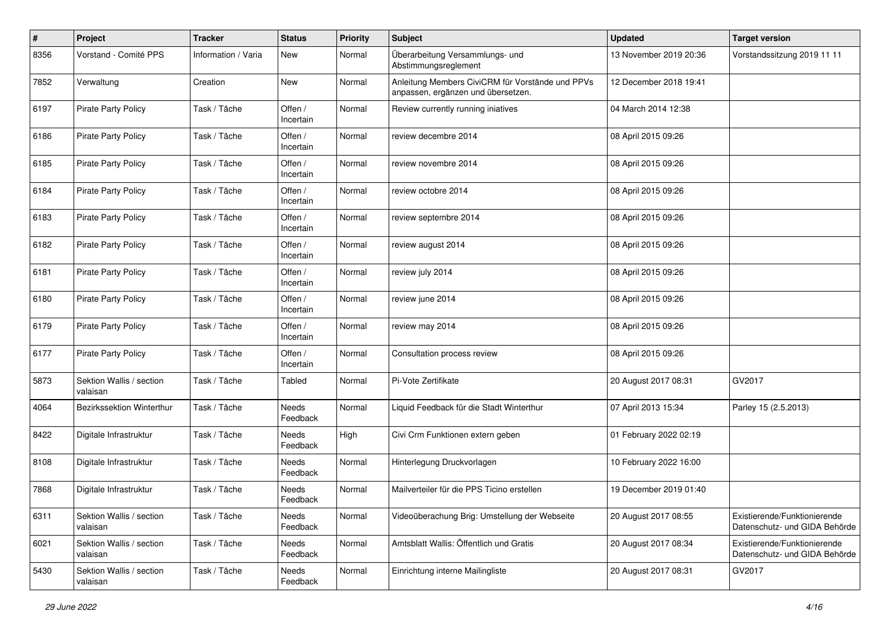| $\#$ | Project                              | <b>Tracker</b>      | <b>Status</b>        | <b>Priority</b> | <b>Subject</b>                                                                         | <b>Updated</b>         | <b>Target version</b>                                         |
|------|--------------------------------------|---------------------|----------------------|-----------------|----------------------------------------------------------------------------------------|------------------------|---------------------------------------------------------------|
| 8356 | Vorstand - Comité PPS                | Information / Varia | New                  | Normal          | Überarbeitung Versammlungs- und<br>Abstimmungsreglement                                | 13 November 2019 20:36 | Vorstandssitzung 2019 11 11                                   |
| 7852 | Verwaltung                           | Creation            | New                  | Normal          | Anleitung Members CiviCRM für Vorstände und PPVs<br>anpassen, ergänzen und übersetzen. | 12 December 2018 19:41 |                                                               |
| 6197 | Pirate Party Policy                  | Task / Tâche        | Offen /<br>Incertain | Normal          | Review currently running iniatives                                                     | 04 March 2014 12:38    |                                                               |
| 6186 | Pirate Party Policy                  | Task / Tâche        | Offen /<br>Incertain | Normal          | review decembre 2014                                                                   | 08 April 2015 09:26    |                                                               |
| 6185 | <b>Pirate Party Policy</b>           | Task / Tâche        | Offen /<br>Incertain | Normal          | review novembre 2014                                                                   | 08 April 2015 09:26    |                                                               |
| 6184 | <b>Pirate Party Policy</b>           | Task / Tâche        | Offen /<br>Incertain | Normal          | review octobre 2014                                                                    | 08 April 2015 09:26    |                                                               |
| 6183 | <b>Pirate Party Policy</b>           | Task / Tâche        | Offen /<br>Incertain | Normal          | review septembre 2014                                                                  | 08 April 2015 09:26    |                                                               |
| 6182 | Pirate Party Policy                  | Task / Tâche        | Offen /<br>Incertain | Normal          | review august 2014                                                                     | 08 April 2015 09:26    |                                                               |
| 6181 | <b>Pirate Party Policy</b>           | Task / Tâche        | Offen /<br>Incertain | Normal          | review july 2014                                                                       | 08 April 2015 09:26    |                                                               |
| 6180 | <b>Pirate Party Policy</b>           | Task / Tâche        | Offen /<br>Incertain | Normal          | review june 2014                                                                       | 08 April 2015 09:26    |                                                               |
| 6179 | Pirate Party Policy                  | Task / Tâche        | Offen /<br>Incertain | Normal          | review may 2014                                                                        | 08 April 2015 09:26    |                                                               |
| 6177 | Pirate Party Policy                  | Task / Tâche        | Offen /<br>Incertain | Normal          | Consultation process review                                                            | 08 April 2015 09:26    |                                                               |
| 5873 | Sektion Wallis / section<br>valaisan | Task / Tâche        | Tabled               | Normal          | Pi-Vote Zertifikate                                                                    | 20 August 2017 08:31   | GV2017                                                        |
| 4064 | Bezirkssektion Winterthur            | Task / Tâche        | Needs<br>Feedback    | Normal          | Liquid Feedback für die Stadt Winterthur                                               | 07 April 2013 15:34    | Parley 15 (2.5.2013)                                          |
| 8422 | Digitale Infrastruktur               | Task / Tâche        | Needs<br>Feedback    | High            | Civi Crm Funktionen extern geben                                                       | 01 February 2022 02:19 |                                                               |
| 8108 | Digitale Infrastruktur               | Task / Tâche        | Needs<br>Feedback    | Normal          | Hinterlegung Druckvorlagen                                                             | 10 February 2022 16:00 |                                                               |
| 7868 | Digitale Infrastruktur               | Task / Tâche        | Needs<br>Feedback    | Normal          | Mailverteiler für die PPS Ticino erstellen                                             | 19 December 2019 01:40 |                                                               |
| 6311 | Sektion Wallis / section<br>valaisan | Task / Tâche        | Needs<br>Feedback    | Normal          | Videoüberachung Brig: Umstellung der Webseite                                          | 20 August 2017 08:55   | Existierende/Funktionierende<br>Datenschutz- und GIDA Behörde |
| 6021 | Sektion Wallis / section<br>valaisan | Task / Tâche        | Needs<br>Feedback    | Normal          | Amtsblatt Wallis: Öffentlich und Gratis                                                | 20 August 2017 08:34   | Existierende/Funktionierende<br>Datenschutz- und GIDA Behörde |
| 5430 | Sektion Wallis / section<br>valaisan | Task / Tâche        | Needs<br>Feedback    | Normal          | Einrichtung interne Mailingliste                                                       | 20 August 2017 08:31   | GV2017                                                        |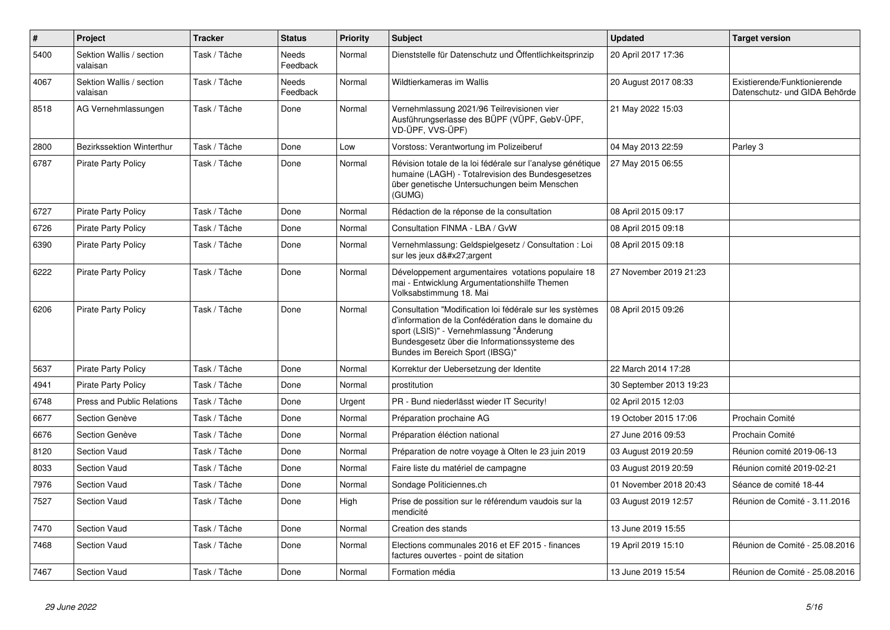| $\vert$ # | Project                              | <b>Tracker</b> | <b>Status</b>            | <b>Priority</b> | <b>Subject</b>                                                                                                                                                                                                                                   | <b>Updated</b>          | <b>Target version</b>                                         |
|-----------|--------------------------------------|----------------|--------------------------|-----------------|--------------------------------------------------------------------------------------------------------------------------------------------------------------------------------------------------------------------------------------------------|-------------------------|---------------------------------------------------------------|
| 5400      | Sektion Wallis / section<br>valaisan | Task / Tâche   | Needs<br>Feedback        | Normal          | Dienststelle für Datenschutz und Öffentlichkeitsprinzip                                                                                                                                                                                          | 20 April 2017 17:36     |                                                               |
| 4067      | Sektion Wallis / section<br>valaisan | Task / Tâche   | <b>Needs</b><br>Feedback | Normal          | Wildtierkameras im Wallis                                                                                                                                                                                                                        | 20 August 2017 08:33    | Existierende/Funktionierende<br>Datenschutz- und GIDA Behörde |
| 8518      | AG Vernehmlassungen                  | Task / Tâche   | Done                     | Normal          | Vernehmlassung 2021/96 Teilrevisionen vier<br>Ausführungserlasse des BÜPF (VÜPF, GebV-ÜPF,<br>VD-ÜPF, VVS-ÜPF)                                                                                                                                   | 21 May 2022 15:03       |                                                               |
| 2800      | Bezirkssektion Winterthur            | Task / Tâche   | Done                     | Low             | Vorstoss: Verantwortung im Polizeiberuf                                                                                                                                                                                                          | 04 May 2013 22:59       | Parley 3                                                      |
| 6787      | <b>Pirate Party Policy</b>           | Task / Tâche   | Done                     | Normal          | Révision totale de la loi fédérale sur l'analyse génétique<br>humaine (LAGH) - Totalrevision des Bundesgesetzes<br>über genetische Untersuchungen beim Menschen<br>(GUMG)                                                                        | 27 May 2015 06:55       |                                                               |
| 6727      | <b>Pirate Party Policy</b>           | Task / Tâche   | Done                     | Normal          | Rédaction de la réponse de la consultation                                                                                                                                                                                                       | 08 April 2015 09:17     |                                                               |
| 6726      | <b>Pirate Party Policy</b>           | Task / Tâche   | Done                     | Normal          | Consultation FINMA - LBA / GvW                                                                                                                                                                                                                   | 08 April 2015 09:18     |                                                               |
| 6390      | <b>Pirate Party Policy</b>           | Task / Tâche   | Done                     | Normal          | Vernehmlassung: Geldspielgesetz / Consultation : Loi<br>sur les jeux d'argent                                                                                                                                                                    | 08 April 2015 09:18     |                                                               |
| 6222      | <b>Pirate Party Policy</b>           | Task / Tâche   | Done                     | Normal          | Développement argumentaires votations populaire 18<br>mai - Entwicklung Argumentationshilfe Themen<br>Volksabstimmung 18. Mai                                                                                                                    | 27 November 2019 21:23  |                                                               |
| 6206      | <b>Pirate Party Policy</b>           | Task / Tâche   | Done                     | Normal          | Consultation "Modification loi fédérale sur les systèmes<br>d'information de la Confédération dans le domaine du<br>sport (LSIS)" - Vernehmlassung "Änderung<br>Bundesgesetz über die Informationssysteme des<br>Bundes im Bereich Sport (IBSG)" | 08 April 2015 09:26     |                                                               |
| 5637      | <b>Pirate Party Policy</b>           | Task / Tâche   | Done                     | Normal          | Korrektur der Uebersetzung der Identite                                                                                                                                                                                                          | 22 March 2014 17:28     |                                                               |
| 4941      | <b>Pirate Party Policy</b>           | Task / Tâche   | Done                     | Normal          | prostitution                                                                                                                                                                                                                                     | 30 September 2013 19:23 |                                                               |
| 6748      | Press and Public Relations           | Task / Tâche   | Done                     | Urgent          | PR - Bund niederlässt wieder IT Security!                                                                                                                                                                                                        | 02 April 2015 12:03     |                                                               |
| 6677      | Section Genève                       | Task / Tâche   | Done                     | Normal          | Préparation prochaine AG                                                                                                                                                                                                                         | 19 October 2015 17:06   | Prochain Comité                                               |
| 6676      | Section Genève                       | Task / Tâche   | Done                     | Normal          | Préparation éléction national                                                                                                                                                                                                                    | 27 June 2016 09:53      | Prochain Comité                                               |
| 8120      | Section Vaud                         | Task / Tâche   | Done                     | Normal          | Préparation de notre voyage à Olten le 23 juin 2019                                                                                                                                                                                              | 03 August 2019 20:59    | Réunion comité 2019-06-13                                     |
| 8033      | <b>Section Vaud</b>                  | Task / Tâche   | Done                     | Normal          | Faire liste du matériel de campagne                                                                                                                                                                                                              | 03 August 2019 20:59    | Réunion comité 2019-02-21                                     |
| 7976      | <b>Section Vaud</b>                  | Task / Tâche   | Done                     | Normal          | Sondage Politiciennes.ch                                                                                                                                                                                                                         | 01 November 2018 20:43  | Séance de comité 18-44                                        |
| 7527      | <b>Section Vaud</b>                  | Task / Tâche   | Done                     | High            | Prise de possition sur le référendum vaudois sur la<br>mendicité                                                                                                                                                                                 | 03 August 2019 12:57    | Réunion de Comité - 3.11.2016                                 |
| 7470      | Section Vaud                         | Task / Tâche   | Done                     | Normal          | Creation des stands                                                                                                                                                                                                                              | 13 June 2019 15:55      |                                                               |
| 7468      | <b>Section Vaud</b>                  | Task / Tâche   | Done                     | Normal          | Elections communales 2016 et EF 2015 - finances<br>factures ouvertes - point de sitation                                                                                                                                                         | 19 April 2019 15:10     | Réunion de Comité - 25.08.2016                                |
| 7467      | <b>Section Vaud</b>                  | Task / Tâche   | Done                     | Normal          | Formation média                                                                                                                                                                                                                                  | 13 June 2019 15:54      | Réunion de Comité - 25.08.2016                                |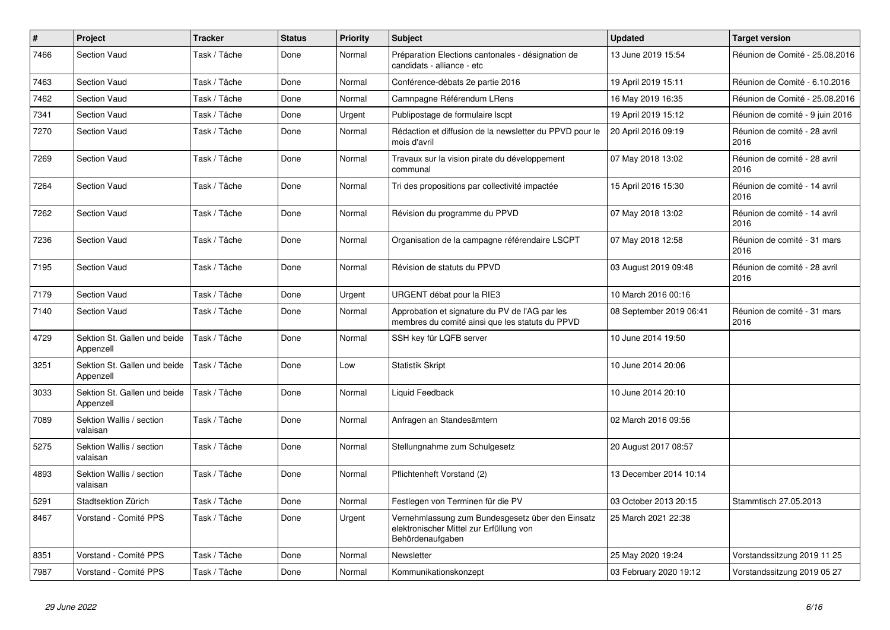| $\pmb{\#}$ | Project                                   | <b>Tracker</b> | <b>Status</b> | <b>Priority</b> | <b>Subject</b>                                                                                                  | <b>Updated</b>          | <b>Target version</b>                |
|------------|-------------------------------------------|----------------|---------------|-----------------|-----------------------------------------------------------------------------------------------------------------|-------------------------|--------------------------------------|
| 7466       | <b>Section Vaud</b>                       | Task / Tâche   | Done          | Normal          | Préparation Elections cantonales - désignation de<br>candidats - alliance - etc                                 | 13 June 2019 15:54      | Réunion de Comité - 25.08.2016       |
| 7463       | Section Vaud                              | Task / Tâche   | Done          | Normal          | Conférence-débats 2e partie 2016                                                                                | 19 April 2019 15:11     | Réunion de Comité - 6.10.2016        |
| 7462       | <b>Section Vaud</b>                       | Task / Tâche   | Done          | Normal          | Camnpagne Référendum LRens                                                                                      | 16 May 2019 16:35       | Réunion de Comité - 25.08.2016       |
| 7341       | Section Vaud                              | Task / Tâche   | Done          | Urgent          | Publipostage de formulaire Iscpt                                                                                | 19 April 2019 15:12     | Réunion de comité - 9 juin 2016      |
| 7270       | <b>Section Vaud</b>                       | Task / Tâche   | Done          | Normal          | Rédaction et diffusion de la newsletter du PPVD pour le<br>mois d'avril                                         | 20 April 2016 09:19     | Réunion de comité - 28 avril<br>2016 |
| 7269       | <b>Section Vaud</b>                       | Task / Tâche   | Done          | Normal          | Travaux sur la vision pirate du développement<br>communal                                                       | 07 May 2018 13:02       | Réunion de comité - 28 avril<br>2016 |
| 7264       | <b>Section Vaud</b>                       | Task / Tâche   | Done          | Normal          | Tri des propositions par collectivité impactée                                                                  | 15 April 2016 15:30     | Réunion de comité - 14 avril<br>2016 |
| 7262       | <b>Section Vaud</b>                       | Task / Tâche   | Done          | Normal          | Révision du programme du PPVD                                                                                   | 07 May 2018 13:02       | Réunion de comité - 14 avril<br>2016 |
| 7236       | <b>Section Vaud</b>                       | Task / Tâche   | Done          | Normal          | Organisation de la campagne référendaire LSCPT                                                                  | 07 May 2018 12:58       | Réunion de comité - 31 mars<br>2016  |
| 7195       | <b>Section Vaud</b>                       | Task / Tâche   | Done          | Normal          | Révision de statuts du PPVD                                                                                     | 03 August 2019 09:48    | Réunion de comité - 28 avril<br>2016 |
| 7179       | <b>Section Vaud</b>                       | Task / Tâche   | Done          | Urgent          | URGENT débat pour la RIE3                                                                                       | 10 March 2016 00:16     |                                      |
| 7140       | <b>Section Vaud</b>                       | Task / Tâche   | Done          | Normal          | Approbation et signature du PV de l'AG par les<br>membres du comité ainsi que les statuts du PPVD               | 08 September 2019 06:41 | Réunion de comité - 31 mars<br>2016  |
| 4729       | Sektion St. Gallen und beide<br>Appenzell | Task / Tâche   | Done          | Normal          | SSH key für LQFB server                                                                                         | 10 June 2014 19:50      |                                      |
| 3251       | Sektion St. Gallen und beide<br>Appenzell | Task / Tâche   | Done          | Low             | <b>Statistik Skript</b>                                                                                         | 10 June 2014 20:06      |                                      |
| 3033       | Sektion St. Gallen und beide<br>Appenzell | Task / Tâche   | Done          | Normal          | Liquid Feedback                                                                                                 | 10 June 2014 20:10      |                                      |
| 7089       | Sektion Wallis / section<br>valaisan      | Task / Tâche   | Done          | Normal          | Anfragen an Standesämtern                                                                                       | 02 March 2016 09:56     |                                      |
| 5275       | Sektion Wallis / section<br>valaisan      | Task / Tâche   | Done          | Normal          | Stellungnahme zum Schulgesetz                                                                                   | 20 August 2017 08:57    |                                      |
| 4893       | Sektion Wallis / section<br>valaisan      | Task / Tâche   | Done          | Normal          | Pflichtenheft Vorstand (2)                                                                                      | 13 December 2014 10:14  |                                      |
| 5291       | Stadtsektion Zürich                       | Task / Tâche   | Done          | Normal          | Festlegen von Terminen für die PV                                                                               | 03 October 2013 20:15   | Stammtisch 27.05.2013                |
| 8467       | Vorstand - Comité PPS                     | Task / Tâche   | Done          | Urgent          | Vernehmlassung zum Bundesgesetz über den Einsatz<br>elektronischer Mittel zur Erfüllung von<br>Behördenaufgaben | 25 March 2021 22:38     |                                      |
| 8351       | Vorstand - Comité PPS                     | Task / Tâche   | Done          | Normal          | Newsletter                                                                                                      | 25 May 2020 19:24       | Vorstandssitzung 2019 11 25          |
| 7987       | Vorstand - Comité PPS                     | Task / Tâche   | Done          | Normal          | Kommunikationskonzept                                                                                           | 03 February 2020 19:12  | Vorstandssitzung 2019 05 27          |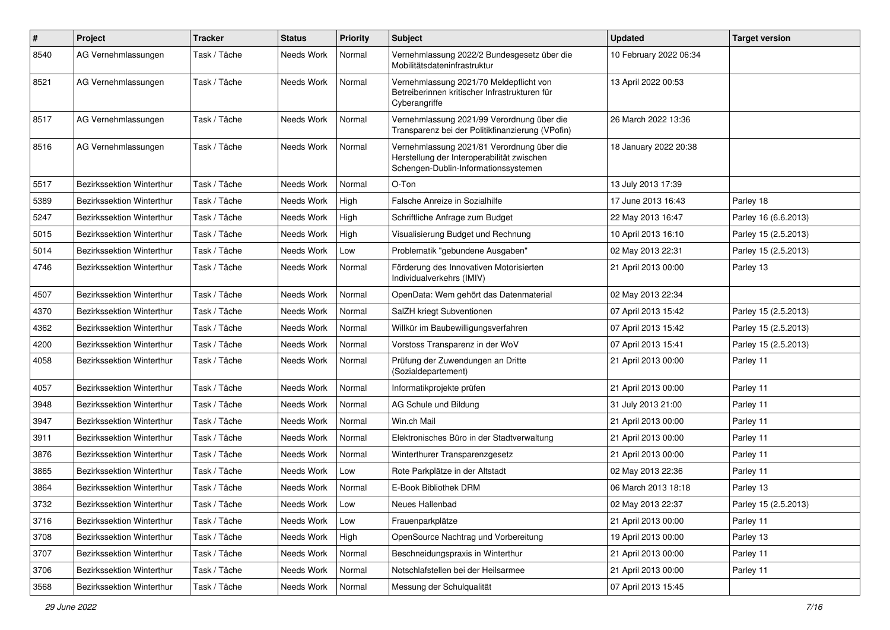| #    | Project                          | <b>Tracker</b> | <b>Status</b> | <b>Priority</b> | <b>Subject</b>                                                                                                                   | <b>Updated</b>         | <b>Target version</b> |
|------|----------------------------------|----------------|---------------|-----------------|----------------------------------------------------------------------------------------------------------------------------------|------------------------|-----------------------|
| 8540 | AG Vernehmlassungen              | Task / Tâche   | Needs Work    | Normal          | Vernehmlassung 2022/2 Bundesgesetz über die<br>Mobilitätsdateninfrastruktur                                                      | 10 February 2022 06:34 |                       |
| 8521 | AG Vernehmlassungen              | Task / Tâche   | Needs Work    | Normal          | Vernehmlassung 2021/70 Meldepflicht von<br>Betreiberinnen kritischer Infrastrukturen für<br>Cyberangriffe                        | 13 April 2022 00:53    |                       |
| 8517 | AG Vernehmlassungen              | Task / Tâche   | Needs Work    | Normal          | Vernehmlassung 2021/99 Verordnung über die<br>Transparenz bei der Politikfinanzierung (VPofin)                                   | 26 March 2022 13:36    |                       |
| 8516 | AG Vernehmlassungen              | Task / Tâche   | Needs Work    | Normal          | Vernehmlassung 2021/81 Verordnung über die<br>Herstellung der Interoperabilität zwischen<br>Schengen-Dublin-Informationssystemen | 18 January 2022 20:38  |                       |
| 5517 | Bezirkssektion Winterthur        | Task / Tâche   | Needs Work    | Normal          | O-Ton                                                                                                                            | 13 July 2013 17:39     |                       |
| 5389 | Bezirkssektion Winterthur        | Task / Tâche   | Needs Work    | High            | Falsche Anreize in Sozialhilfe                                                                                                   | 17 June 2013 16:43     | Parley 18             |
| 5247 | Bezirkssektion Winterthur        | Task / Tâche   | Needs Work    | High            | Schriftliche Anfrage zum Budget                                                                                                  | 22 May 2013 16:47      | Parley 16 (6.6.2013)  |
| 5015 | Bezirkssektion Winterthur        | Task / Tâche   | Needs Work    | High            | Visualisierung Budget und Rechnung                                                                                               | 10 April 2013 16:10    | Parley 15 (2.5.2013)  |
| 5014 | Bezirkssektion Winterthur        | Task / Tâche   | Needs Work    | Low             | Problematik "gebundene Ausgaben"                                                                                                 | 02 May 2013 22:31      | Parley 15 (2.5.2013)  |
| 4746 | Bezirkssektion Winterthur        | Task / Tâche   | Needs Work    | Normal          | Förderung des Innovativen Motorisierten<br>Individualverkehrs (IMIV)                                                             | 21 April 2013 00:00    | Parley 13             |
| 4507 | <b>Bezirkssektion Winterthur</b> | Task / Tâche   | Needs Work    | Normal          | OpenData: Wem gehört das Datenmaterial                                                                                           | 02 May 2013 22:34      |                       |
| 4370 | <b>Bezirkssektion Winterthur</b> | Task / Tâche   | Needs Work    | Normal          | SalZH kriegt Subventionen                                                                                                        | 07 April 2013 15:42    | Parley 15 (2.5.2013)  |
| 4362 | Bezirkssektion Winterthur        | Task / Tâche   | Needs Work    | Normal          | Willkür im Baubewilligungsverfahren                                                                                              | 07 April 2013 15:42    | Parley 15 (2.5.2013)  |
| 4200 | Bezirkssektion Winterthur        | Task / Tâche   | Needs Work    | Normal          | Vorstoss Transparenz in der WoV                                                                                                  | 07 April 2013 15:41    | Parley 15 (2.5.2013)  |
| 4058 | Bezirkssektion Winterthur        | Task / Tâche   | Needs Work    | Normal          | Prüfung der Zuwendungen an Dritte<br>(Sozialdepartement)                                                                         | 21 April 2013 00:00    | Parley 11             |
| 4057 | Bezirkssektion Winterthur        | Task / Tâche   | Needs Work    | Normal          | Informatikprojekte prüfen                                                                                                        | 21 April 2013 00:00    | Parley 11             |
| 3948 | Bezirkssektion Winterthur        | Task / Tâche   | Needs Work    | Normal          | AG Schule und Bildung                                                                                                            | 31 July 2013 21:00     | Parley 11             |
| 3947 | Bezirkssektion Winterthur        | Task / Tâche   | Needs Work    | Normal          | Win.ch Mail                                                                                                                      | 21 April 2013 00:00    | Parley 11             |
| 3911 | Bezirkssektion Winterthur        | Task / Tâche   | Needs Work    | Normal          | Elektronisches Büro in der Stadtverwaltung                                                                                       | 21 April 2013 00:00    | Parley 11             |
| 3876 | Bezirkssektion Winterthur        | Task / Tâche   | Needs Work    | Normal          | Winterthurer Transparenzgesetz                                                                                                   | 21 April 2013 00:00    | Parley 11             |
| 3865 | Bezirkssektion Winterthur        | Task / Tâche   | Needs Work    | Low             | Rote Parkplätze in der Altstadt                                                                                                  | 02 May 2013 22:36      | Parley 11             |
| 3864 | Bezirkssektion Winterthur        | Task / Tâche   | Needs Work    | Normal          | E-Book Bibliothek DRM                                                                                                            | 06 March 2013 18:18    | Parley 13             |
| 3732 | Bezirkssektion Winterthur        | Task / Tâche   | Needs Work    | Low             | Neues Hallenbad                                                                                                                  | 02 May 2013 22:37      | Parley 15 (2.5.2013)  |
| 3716 | Bezirkssektion Winterthur        | Task / Tâche   | Needs Work    | Low             | Frauenparkplätze                                                                                                                 | 21 April 2013 00:00    | Parley 11             |
| 3708 | Bezirkssektion Winterthur        | Task / Tâche   | Needs Work    | High            | OpenSource Nachtrag und Vorbereitung                                                                                             | 19 April 2013 00:00    | Parley 13             |
| 3707 | Bezirkssektion Winterthur        | Task / Tâche   | Needs Work    | Normal          | Beschneidungspraxis in Winterthur                                                                                                | 21 April 2013 00:00    | Parley 11             |
| 3706 | Bezirkssektion Winterthur        | Task / Tâche   | Needs Work    | Normal          | Notschlafstellen bei der Heilsarmee                                                                                              | 21 April 2013 00:00    | Parley 11             |
| 3568 | Bezirkssektion Winterthur        | Task / Tâche   | Needs Work    | Normal          | Messung der Schulqualität                                                                                                        | 07 April 2013 15:45    |                       |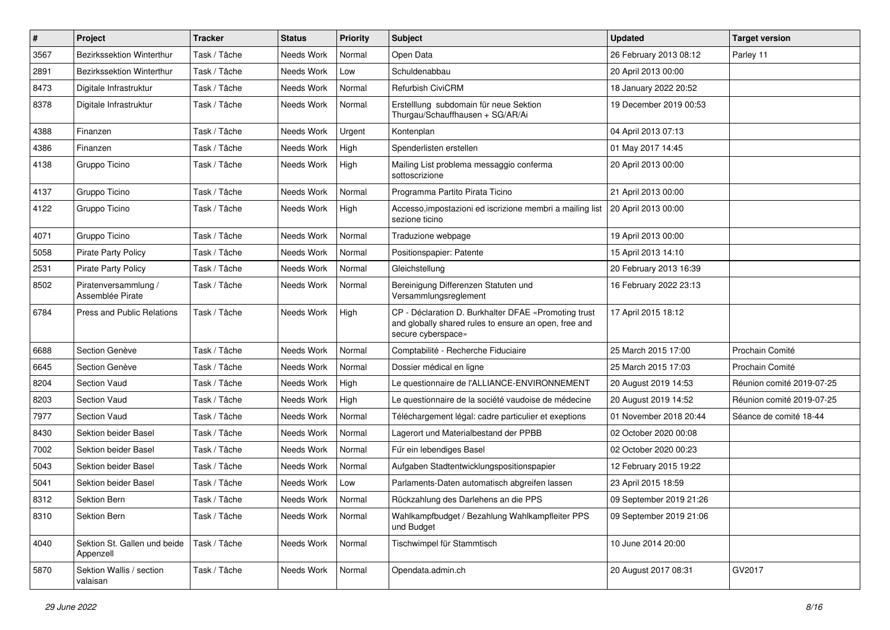| $\pmb{\#}$ | Project                                   | <b>Tracker</b> | <b>Status</b> | <b>Priority</b> | <b>Subject</b>                                                                                                                      | <b>Updated</b>          | <b>Target version</b>     |
|------------|-------------------------------------------|----------------|---------------|-----------------|-------------------------------------------------------------------------------------------------------------------------------------|-------------------------|---------------------------|
| 3567       | Bezirkssektion Winterthur                 | Task / Tâche   | Needs Work    | Normal          | Open Data                                                                                                                           | 26 February 2013 08:12  | Parley 11                 |
| 2891       | Bezirkssektion Winterthur                 | Task / Tâche   | Needs Work    | Low             | Schuldenabbau                                                                                                                       | 20 April 2013 00:00     |                           |
| 8473       | Digitale Infrastruktur                    | Task / Tâche   | Needs Work    | Normal          | <b>Refurbish CiviCRM</b>                                                                                                            | 18 January 2022 20:52   |                           |
| 8378       | Digitale Infrastruktur                    | Task / Tâche   | Needs Work    | Normal          | Erstelllung subdomain für neue Sektion<br>Thurgau/Schauffhausen + SG/AR/Ai                                                          | 19 December 2019 00:53  |                           |
| 4388       | Finanzen                                  | Task / Tâche   | Needs Work    | Urgent          | Kontenplan                                                                                                                          | 04 April 2013 07:13     |                           |
| 4386       | Finanzen                                  | Task / Tâche   | Needs Work    | High            | Spenderlisten erstellen                                                                                                             | 01 May 2017 14:45       |                           |
| 4138       | Gruppo Ticino                             | Task / Tâche   | Needs Work    | High            | Mailing List problema messaggio conferma<br>sottoscrizione                                                                          | 20 April 2013 00:00     |                           |
| 4137       | Gruppo Ticino                             | Task / Tâche   | Needs Work    | Normal          | Programma Partito Pirata Ticino                                                                                                     | 21 April 2013 00:00     |                           |
| 4122       | Gruppo Ticino                             | Task / Tâche   | Needs Work    | High            | Accesso, impostazioni ed iscrizione membri a mailing list<br>sezione ticino                                                         | 20 April 2013 00:00     |                           |
| 4071       | Gruppo Ticino                             | Task / Tâche   | Needs Work    | Normal          | Traduzione webpage                                                                                                                  | 19 April 2013 00:00     |                           |
| 5058       | <b>Pirate Party Policy</b>                | Task / Tâche   | Needs Work    | Normal          | Positionspapier: Patente                                                                                                            | 15 April 2013 14:10     |                           |
| 2531       | <b>Pirate Party Policy</b>                | Task / Tâche   | Needs Work    | Normal          | Gleichstellung                                                                                                                      | 20 February 2013 16:39  |                           |
| 8502       | Piratenversammlung /<br>Assemblée Pirate  | Task / Tâche   | Needs Work    | Normal          | Bereinigung Differenzen Statuten und<br>Versammlungsreglement                                                                       | 16 February 2022 23:13  |                           |
| 6784       | <b>Press and Public Relations</b>         | Task / Tâche   | Needs Work    | High            | CP - Déclaration D. Burkhalter DFAE «Promoting trust<br>and globally shared rules to ensure an open, free and<br>secure cyberspace» | 17 April 2015 18:12     |                           |
| 6688       | Section Genève                            | Task / Tâche   | Needs Work    | Normal          | Comptabilité - Recherche Fiduciaire                                                                                                 | 25 March 2015 17:00     | Prochain Comité           |
| 6645       | Section Genève                            | Task / Tâche   | Needs Work    | Normal          | Dossier médical en ligne                                                                                                            | 25 March 2015 17:03     | Prochain Comité           |
| 8204       | <b>Section Vaud</b>                       | Task / Tâche   | Needs Work    | High            | Le questionnaire de l'ALLIANCE-ENVIRONNEMENT                                                                                        | 20 August 2019 14:53    | Réunion comité 2019-07-25 |
| 8203       | <b>Section Vaud</b>                       | Task / Tâche   | Needs Work    | High            | Le questionnaire de la société vaudoise de médecine                                                                                 | 20 August 2019 14:52    | Réunion comité 2019-07-25 |
| 7977       | Section Vaud                              | Task / Tâche   | Needs Work    | Normal          | Téléchargement légal: cadre particulier et exeptions                                                                                | 01 November 2018 20:44  | Séance de comité 18-44    |
| 8430       | Sektion beider Basel                      | Task / Tâche   | Needs Work    | Normal          | Lagerort und Materialbestand der PPBB                                                                                               | 02 October 2020 00:08   |                           |
| 7002       | Sektion beider Basel                      | Task / Tâche   | Needs Work    | Normal          | Für ein lebendiges Basel                                                                                                            | 02 October 2020 00:23   |                           |
| 5043       | Sektion beider Basel                      | Task / Tâche   | Needs Work    | Normal          | Aufgaben Stadtentwicklungspositionspapier                                                                                           | 12 February 2015 19:22  |                           |
| 5041       | Sektion beider Basel                      | Task / Tâche   | Needs Work    | Low             | Parlaments-Daten automatisch abgreifen lassen                                                                                       | 23 April 2015 18:59     |                           |
| 8312       | Sektion Bern                              | Task / Tâche   | Needs Work    | Normal          | Rückzahlung des Darlehens an die PPS                                                                                                | 09 September 2019 21:26 |                           |
| 8310       | Sektion Bern                              | Task / Tâche   | Needs Work    | Normal          | Wahlkampfbudget / Bezahlung Wahlkampfleiter PPS<br>und Budget                                                                       | 09 September 2019 21:06 |                           |
| 4040       | Sektion St. Gallen und beide<br>Appenzell | Task / Tâche   | Needs Work    | Normal          | Tischwimpel für Stammtisch                                                                                                          | 10 June 2014 20:00      |                           |
| 5870       | Sektion Wallis / section<br>valaisan      | Task / Tâche   | Needs Work    | Normal          | Opendata.admin.ch                                                                                                                   | 20 August 2017 08:31    | GV2017                    |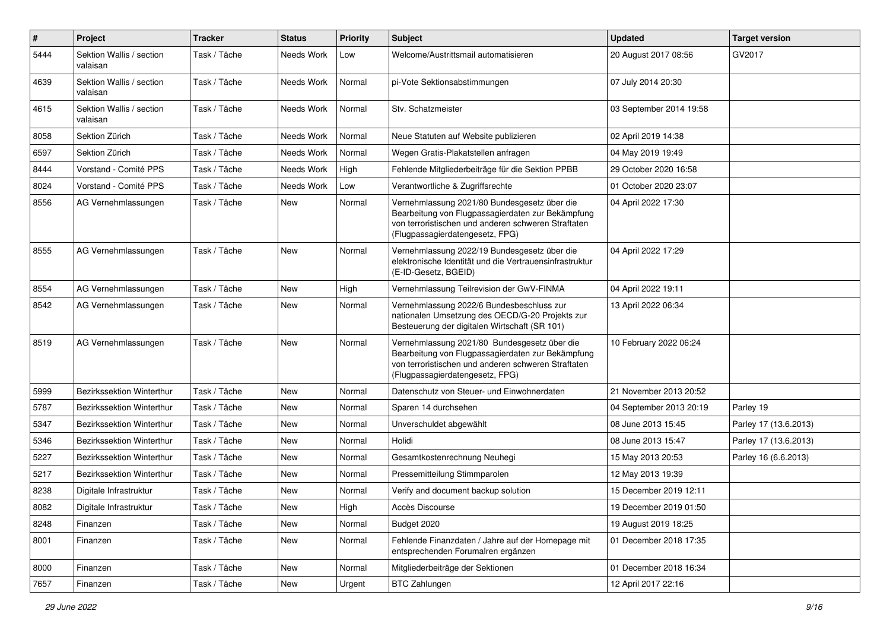| $\pmb{\#}$ | Project                              | <b>Tracker</b> | <b>Status</b> | <b>Priority</b> | <b>Subject</b>                                                                                                                                                                              | <b>Updated</b>          | <b>Target version</b> |
|------------|--------------------------------------|----------------|---------------|-----------------|---------------------------------------------------------------------------------------------------------------------------------------------------------------------------------------------|-------------------------|-----------------------|
| 5444       | Sektion Wallis / section<br>valaisan | Task / Tâche   | Needs Work    | Low             | Welcome/Austrittsmail automatisieren                                                                                                                                                        | 20 August 2017 08:56    | GV2017                |
| 4639       | Sektion Wallis / section<br>valaisan | Task / Tâche   | Needs Work    | Normal          | pi-Vote Sektionsabstimmungen                                                                                                                                                                | 07 July 2014 20:30      |                       |
| 4615       | Sektion Wallis / section<br>valaisan | Task / Tâche   | Needs Work    | Normal          | Stv. Schatzmeister                                                                                                                                                                          | 03 September 2014 19:58 |                       |
| 8058       | Sektion Zürich                       | Task / Tâche   | Needs Work    | Normal          | Neue Statuten auf Website publizieren                                                                                                                                                       | 02 April 2019 14:38     |                       |
| 6597       | Sektion Zürich                       | Task / Tâche   | Needs Work    | Normal          | Wegen Gratis-Plakatstellen anfragen                                                                                                                                                         | 04 May 2019 19:49       |                       |
| 8444       | Vorstand - Comité PPS                | Task / Tâche   | Needs Work    | High            | Fehlende Mitgliederbeiträge für die Sektion PPBB                                                                                                                                            | 29 October 2020 16:58   |                       |
| 8024       | Vorstand - Comité PPS                | Task / Tâche   | Needs Work    | Low             | Verantwortliche & Zugriffsrechte                                                                                                                                                            | 01 October 2020 23:07   |                       |
| 8556       | AG Vernehmlassungen                  | Task / Tâche   | New           | Normal          | Vernehmlassung 2021/80 Bundesgesetz über die<br>Bearbeitung von Flugpassagierdaten zur Bekämpfung<br>von terroristischen und anderen schweren Straftaten<br>(Flugpassagierdatengesetz, FPG) | 04 April 2022 17:30     |                       |
| 8555       | AG Vernehmlassungen                  | Task / Tâche   | <b>New</b>    | Normal          | Vernehmlassung 2022/19 Bundesgesetz über die<br>elektronische Identität und die Vertrauensinfrastruktur<br>(E-ID-Gesetz, BGEID)                                                             | 04 April 2022 17:29     |                       |
| 8554       | AG Vernehmlassungen                  | Task / Tâche   | New           | High            | Vernehmlassung Teilrevision der GwV-FINMA                                                                                                                                                   | 04 April 2022 19:11     |                       |
| 8542       | AG Vernehmlassungen                  | Task / Tâche   | New           | Normal          | Vernehmlassung 2022/6 Bundesbeschluss zur<br>nationalen Umsetzung des OECD/G-20 Projekts zur<br>Besteuerung der digitalen Wirtschaft (SR 101)                                               | 13 April 2022 06:34     |                       |
| 8519       | AG Vernehmlassungen                  | Task / Tâche   | <b>New</b>    | Normal          | Vernehmlassung 2021/80 Bundesgesetz über die<br>Bearbeitung von Flugpassagierdaten zur Bekämpfung<br>von terroristischen und anderen schweren Straftaten<br>(Flugpassagierdatengesetz, FPG) | 10 February 2022 06:24  |                       |
| 5999       | Bezirkssektion Winterthur            | Task / Tâche   | New           | Normal          | Datenschutz von Steuer- und Einwohnerdaten                                                                                                                                                  | 21 November 2013 20:52  |                       |
| 5787       | Bezirkssektion Winterthur            | Task / Tâche   | <b>New</b>    | Normal          | Sparen 14 durchsehen                                                                                                                                                                        | 04 September 2013 20:19 | Parley 19             |
| 5347       | Bezirkssektion Winterthur            | Task / Tâche   | <b>New</b>    | Normal          | Unverschuldet abgewählt                                                                                                                                                                     | 08 June 2013 15:45      | Parley 17 (13.6.2013) |
| 5346       | Bezirkssektion Winterthur            | Task / Tâche   | <b>New</b>    | Normal          | Holidi                                                                                                                                                                                      | 08 June 2013 15:47      | Parley 17 (13.6.2013) |
| 5227       | <b>Bezirkssektion Winterthur</b>     | Task / Tâche   | New           | Normal          | Gesamtkostenrechnung Neuhegi                                                                                                                                                                | 15 May 2013 20:53       | Parley 16 (6.6.2013)  |
| 5217       | Bezirkssektion Winterthur            | Task / Tâche   | New           | Normal          | Pressemitteilung Stimmparolen                                                                                                                                                               | 12 May 2013 19:39       |                       |
| 8238       | Digitale Infrastruktur               | Task / Tâche   | New           | Normal          | Verify and document backup solution                                                                                                                                                         | 15 December 2019 12:11  |                       |
| 8082       | Digitale Infrastruktur               | Task / Tâche   | New           | High            | Accès Discourse                                                                                                                                                                             | 19 December 2019 01:50  |                       |
| 8248       | Finanzen                             | Task / Tâche   | New           | Normal          | Budget 2020                                                                                                                                                                                 | 19 August 2019 18:25    |                       |
| 8001       | Finanzen                             | Task / Tâche   | New           | Normal          | Fehlende Finanzdaten / Jahre auf der Homepage mit<br>entsprechenden Forumalren ergänzen                                                                                                     | 01 December 2018 17:35  |                       |
| 8000       | Finanzen                             | Task / Tâche   | New           | Normal          | Mitgliederbeiträge der Sektionen                                                                                                                                                            | 01 December 2018 16:34  |                       |
| 7657       | Finanzen                             | Task / Tâche   | New           | Urgent          | <b>BTC Zahlungen</b>                                                                                                                                                                        | 12 April 2017 22:16     |                       |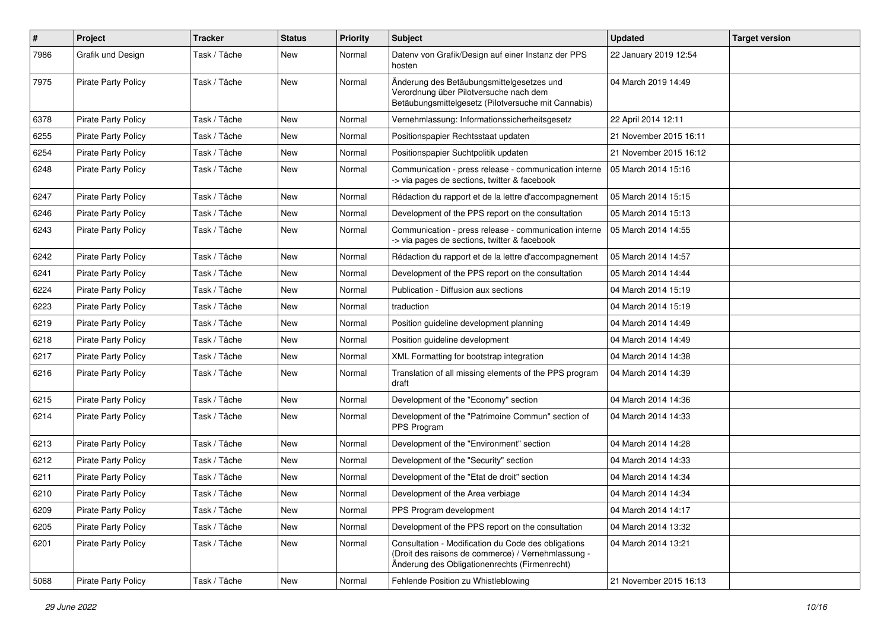| $\pmb{\#}$ | Project                    | <b>Tracker</b> | <b>Status</b> | <b>Priority</b> | <b>Subject</b>                                                                                                                                             | <b>Updated</b>         | <b>Target version</b> |
|------------|----------------------------|----------------|---------------|-----------------|------------------------------------------------------------------------------------------------------------------------------------------------------------|------------------------|-----------------------|
| 7986       | Grafik und Design          | Task / Tâche   | New           | Normal          | Datenv von Grafik/Design auf einer Instanz der PPS<br>hosten                                                                                               | 22 January 2019 12:54  |                       |
| 7975       | <b>Pirate Party Policy</b> | Task / Tâche   | New           | Normal          | Änderung des Betäubungsmittelgesetzes und<br>Verordnung über Pilotversuche nach dem<br>Betäubungsmittelgesetz (Pilotversuche mit Cannabis)                 | 04 March 2019 14:49    |                       |
| 6378       | <b>Pirate Party Policy</b> | Task / Tâche   | New           | Normal          | Vernehmlassung: Informationssicherheitsgesetz                                                                                                              | 22 April 2014 12:11    |                       |
| 6255       | <b>Pirate Party Policy</b> | Task / Tâche   | New           | Normal          | Positionspapier Rechtsstaat updaten                                                                                                                        | 21 November 2015 16:11 |                       |
| 6254       | <b>Pirate Party Policy</b> | Task / Tâche   | New           | Normal          | Positionspapier Suchtpolitik updaten                                                                                                                       | 21 November 2015 16:12 |                       |
| 6248       | Pirate Party Policy        | Task / Tâche   | New           | Normal          | Communication - press release - communication interne<br>-> via pages de sections, twitter & facebook                                                      | 05 March 2014 15:16    |                       |
| 6247       | <b>Pirate Party Policy</b> | Task / Tâche   | New           | Normal          | Rédaction du rapport et de la lettre d'accompagnement                                                                                                      | 05 March 2014 15:15    |                       |
| 6246       | <b>Pirate Party Policy</b> | Task / Tâche   | New           | Normal          | Development of the PPS report on the consultation                                                                                                          | 05 March 2014 15:13    |                       |
| 6243       | <b>Pirate Party Policy</b> | Task / Tâche   | New           | Normal          | Communication - press release - communication interne<br>-> via pages de sections, twitter & facebook                                                      | 05 March 2014 14:55    |                       |
| 6242       | Pirate Party Policy        | Task / Tâche   | <b>New</b>    | Normal          | Rédaction du rapport et de la lettre d'accompagnement                                                                                                      | 05 March 2014 14:57    |                       |
| 6241       | <b>Pirate Party Policy</b> | Task / Tâche   | New           | Normal          | Development of the PPS report on the consultation                                                                                                          | 05 March 2014 14:44    |                       |
| 6224       | Pirate Party Policy        | Task / Tâche   | New           | Normal          | Publication - Diffusion aux sections                                                                                                                       | 04 March 2014 15:19    |                       |
| 6223       | <b>Pirate Party Policy</b> | Task / Tâche   | <b>New</b>    | Normal          | traduction                                                                                                                                                 | 04 March 2014 15:19    |                       |
| 6219       | <b>Pirate Party Policy</b> | Task / Tâche   | New           | Normal          | Position quideline development planning                                                                                                                    | 04 March 2014 14:49    |                       |
| 6218       | <b>Pirate Party Policy</b> | Task / Tâche   | New           | Normal          | Position guideline development                                                                                                                             | 04 March 2014 14:49    |                       |
| 6217       | <b>Pirate Party Policy</b> | Task / Tâche   | New           | Normal          | XML Formatting for bootstrap integration                                                                                                                   | 04 March 2014 14:38    |                       |
| 6216       | Pirate Party Policy        | Task / Tâche   | New           | Normal          | Translation of all missing elements of the PPS program<br>draft                                                                                            | 04 March 2014 14:39    |                       |
| 6215       | <b>Pirate Party Policy</b> | Task / Tâche   | New           | Normal          | Development of the "Economy" section                                                                                                                       | 04 March 2014 14:36    |                       |
| 6214       | <b>Pirate Party Policy</b> | Task / Tâche   | New           | Normal          | Development of the "Patrimoine Commun" section of<br>PPS Program                                                                                           | 04 March 2014 14:33    |                       |
| 6213       | <b>Pirate Party Policy</b> | Task / Tâche   | New           | Normal          | Development of the "Environment" section                                                                                                                   | 04 March 2014 14:28    |                       |
| 6212       | <b>Pirate Party Policy</b> | Task / Tâche   | New           | Normal          | Development of the "Security" section                                                                                                                      | 04 March 2014 14:33    |                       |
| 6211       | <b>Pirate Party Policy</b> | Task / Tâche   | New           | Normal          | Development of the "Etat de droit" section                                                                                                                 | 04 March 2014 14:34    |                       |
| 6210       | Pirate Party Policy        | Task / Tâche   | New           | Normal          | Development of the Area verbiage                                                                                                                           | 04 March 2014 14:34    |                       |
| 6209       | <b>Pirate Party Policy</b> | Task / Tâche   | New           | Normal          | PPS Program development                                                                                                                                    | 04 March 2014 14:17    |                       |
| 6205       | <b>Pirate Party Policy</b> | Task / Tâche   | New           | Normal          | Development of the PPS report on the consultation                                                                                                          | 04 March 2014 13:32    |                       |
| 6201       | <b>Pirate Party Policy</b> | Task / Tâche   | New           | Normal          | Consultation - Modification du Code des obligations<br>(Droit des raisons de commerce) / Vernehmlassung -<br>Änderung des Obligationenrechts (Firmenrecht) | 04 March 2014 13:21    |                       |
| 5068       | <b>Pirate Party Policy</b> | Task / Tâche   | New           | Normal          | Fehlende Position zu Whistleblowing                                                                                                                        | 21 November 2015 16:13 |                       |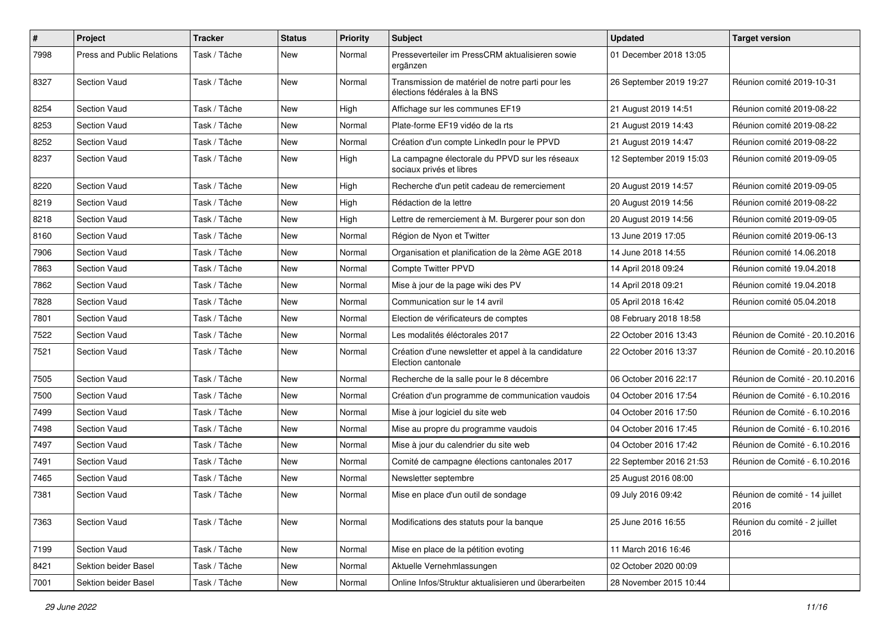| $\pmb{\#}$ | Project                    | <b>Tracker</b> | <b>Status</b> | <b>Priority</b> | <b>Subject</b>                                                                   | <b>Updated</b>          | <b>Target version</b>                  |
|------------|----------------------------|----------------|---------------|-----------------|----------------------------------------------------------------------------------|-------------------------|----------------------------------------|
| 7998       | Press and Public Relations | Task / Tâche   | New           | Normal          | Presseverteiler im PressCRM aktualisieren sowie<br>ergänzen                      | 01 December 2018 13:05  |                                        |
| 8327       | <b>Section Vaud</b>        | Task / Tâche   | New           | Normal          | Transmission de matériel de notre parti pour les<br>élections fédérales à la BNS | 26 September 2019 19:27 | Réunion comité 2019-10-31              |
| 8254       | <b>Section Vaud</b>        | Task / Tâche   | <b>New</b>    | High            | Affichage sur les communes EF19                                                  | 21 August 2019 14:51    | Réunion comité 2019-08-22              |
| 8253       | <b>Section Vaud</b>        | Task / Tâche   | New           | Normal          | Plate-forme EF19 vidéo de la rts                                                 | 21 August 2019 14:43    | Réunion comité 2019-08-22              |
| 8252       | <b>Section Vaud</b>        | Task / Tâche   | <b>New</b>    | Normal          | Création d'un compte LinkedIn pour le PPVD                                       | 21 August 2019 14:47    | Réunion comité 2019-08-22              |
| 8237       | <b>Section Vaud</b>        | Task / Tâche   | New           | High            | La campagne électorale du PPVD sur les réseaux<br>sociaux privés et libres       | 12 September 2019 15:03 | Réunion comité 2019-09-05              |
| 8220       | <b>Section Vaud</b>        | Task / Tâche   | New           | High            | Recherche d'un petit cadeau de remerciement                                      | 20 August 2019 14:57    | Réunion comité 2019-09-05              |
| 8219       | Section Vaud               | Task / Tâche   | New           | High            | Rédaction de la lettre                                                           | 20 August 2019 14:56    | Réunion comité 2019-08-22              |
| 8218       | <b>Section Vaud</b>        | Task / Tâche   | New           | High            | Lettre de remerciement à M. Burgerer pour son don                                | 20 August 2019 14:56    | Réunion comité 2019-09-05              |
| 8160       | <b>Section Vaud</b>        | Task / Tâche   | <b>New</b>    | Normal          | Région de Nyon et Twitter                                                        | 13 June 2019 17:05      | Réunion comité 2019-06-13              |
| 7906       | <b>Section Vaud</b>        | Task / Tâche   | New           | Normal          | Organisation et planification de la 2ème AGE 2018                                | 14 June 2018 14:55      | Réunion comité 14.06.2018              |
| 7863       | <b>Section Vaud</b>        | Task / Tâche   | <b>New</b>    | Normal          | <b>Compte Twitter PPVD</b>                                                       | 14 April 2018 09:24     | Réunion comité 19.04.2018              |
| 7862       | Section Vaud               | Task / Tâche   | New           | Normal          | Mise à jour de la page wiki des PV                                               | 14 April 2018 09:21     | Réunion comité 19.04.2018              |
| 7828       | <b>Section Vaud</b>        | Task / Tâche   | New           | Normal          | Communication sur le 14 avril                                                    | 05 April 2018 16:42     | Réunion comité 05.04.2018              |
| 7801       | <b>Section Vaud</b>        | Task / Tâche   | New           | Normal          | Election de vérificateurs de comptes                                             | 08 February 2018 18:58  |                                        |
| 7522       | <b>Section Vaud</b>        | Task / Tâche   | New           | Normal          | Les modalités éléctorales 2017                                                   | 22 October 2016 13:43   | Réunion de Comité - 20.10.2016         |
| 7521       | <b>Section Vaud</b>        | Task / Tâche   | New           | Normal          | Création d'une newsletter et appel à la candidature<br>Election cantonale        | 22 October 2016 13:37   | Réunion de Comité - 20.10.2016         |
| 7505       | <b>Section Vaud</b>        | Task / Tâche   | <b>New</b>    | Normal          | Recherche de la salle pour le 8 décembre                                         | 06 October 2016 22:17   | Réunion de Comité - 20.10.2016         |
| 7500       | <b>Section Vaud</b>        | Task / Tâche   | New           | Normal          | Création d'un programme de communication vaudois                                 | 04 October 2016 17:54   | Réunion de Comité - 6.10.2016          |
| 7499       | Section Vaud               | Task / Tâche   | New           | Normal          | Mise à jour logiciel du site web                                                 | 04 October 2016 17:50   | Réunion de Comité - 6.10.2016          |
| 7498       | <b>Section Vaud</b>        | Task / Tâche   | New           | Normal          | Mise au propre du programme vaudois                                              | 04 October 2016 17:45   | Réunion de Comité - 6.10.2016          |
| 7497       | <b>Section Vaud</b>        | Task / Tâche   | New           | Normal          | Mise à jour du calendrier du site web                                            | 04 October 2016 17:42   | Réunion de Comité - 6.10.2016          |
| 7491       | <b>Section Vaud</b>        | Task / Tâche   | New           | Normal          | Comité de campagne élections cantonales 2017                                     | 22 September 2016 21:53 | Réunion de Comité - 6.10.2016          |
| 7465       | <b>Section Vaud</b>        | Task / Tâche   | New           | Normal          | Newsletter septembre                                                             | 25 August 2016 08:00    |                                        |
| 7381       | <b>Section Vaud</b>        | Task / Tâche   | New           | Normal          | Mise en place d'un outil de sondage                                              | 09 July 2016 09:42      | Réunion de comité - 14 juillet<br>2016 |
| 7363       | Section Vaud               | Task / Tâche   | New           | Normal          | Modifications des statuts pour la banque                                         | 25 June 2016 16:55      | Réunion du comité - 2 juillet<br>2016  |
| 7199       | Section Vaud               | Task / Tâche   | New           | Normal          | Mise en place de la pétition evoting                                             | 11 March 2016 16:46     |                                        |
| 8421       | Sektion beider Basel       | Task / Tâche   | New           | Normal          | Aktuelle Vernehmlassungen                                                        | 02 October 2020 00:09   |                                        |
| 7001       | Sektion beider Basel       | Task / Tâche   | New           | Normal          | Online Infos/Struktur aktualisieren und überarbeiten                             | 28 November 2015 10:44  |                                        |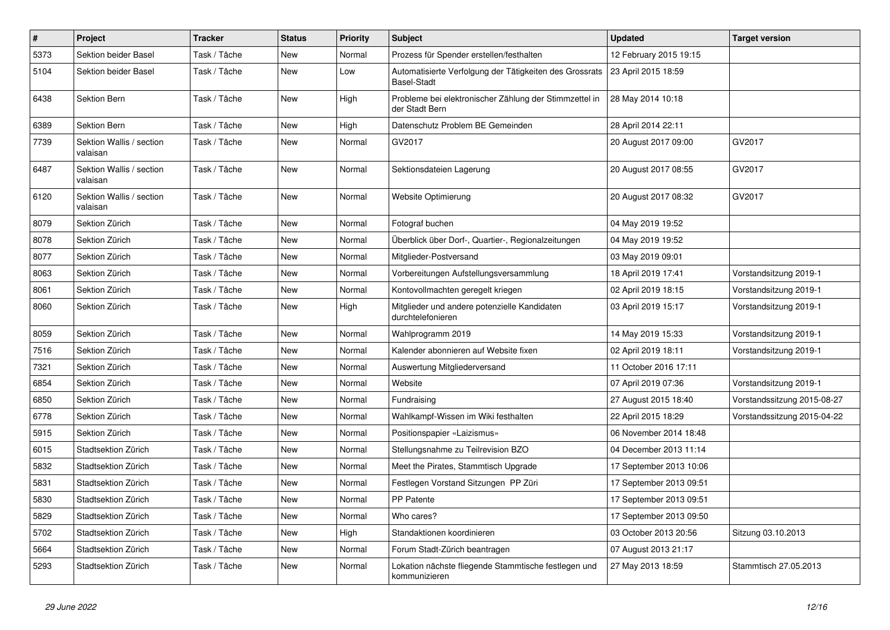| $\sharp$ | Project                              | <b>Tracker</b> | <b>Status</b> | <b>Priority</b> | <b>Subject</b>                                                                | <b>Updated</b>          | <b>Target version</b>       |
|----------|--------------------------------------|----------------|---------------|-----------------|-------------------------------------------------------------------------------|-------------------------|-----------------------------|
| 5373     | Sektion beider Basel                 | Task / Tâche   | New           | Normal          | Prozess für Spender erstellen/festhalten                                      | 12 February 2015 19:15  |                             |
| 5104     | Sektion beider Basel                 | Task / Tâche   | New           | Low             | Automatisierte Verfolgung der Tätigkeiten des Grossrats<br><b>Basel-Stadt</b> | 23 April 2015 18:59     |                             |
| 6438     | <b>Sektion Bern</b>                  | Task / Tâche   | New           | High            | Probleme bei elektronischer Zählung der Stimmzettel in<br>der Stadt Bern      | 28 May 2014 10:18       |                             |
| 6389     | <b>Sektion Bern</b>                  | Task / Tâche   | New           | High            | Datenschutz Problem BE Gemeinden                                              | 28 April 2014 22:11     |                             |
| 7739     | Sektion Wallis / section<br>valaisan | Task / Tâche   | New           | Normal          | GV2017                                                                        | 20 August 2017 09:00    | GV2017                      |
| 6487     | Sektion Wallis / section<br>valaisan | Task / Tâche   | New           | Normal          | Sektionsdateien Lagerung                                                      | 20 August 2017 08:55    | GV2017                      |
| 6120     | Sektion Wallis / section<br>valaisan | Task / Tâche   | New           | Normal          | Website Optimierung                                                           | 20 August 2017 08:32    | GV2017                      |
| 8079     | Sektion Zürich                       | Task / Tâche   | New           | Normal          | Fotograf buchen                                                               | 04 May 2019 19:52       |                             |
| 8078     | Sektion Zürich                       | Task / Tâche   | New           | Normal          | Überblick über Dorf-, Quartier-, Regionalzeitungen                            | 04 May 2019 19:52       |                             |
| 8077     | Sektion Zürich                       | Task / Tâche   | New           | Normal          | Mitglieder-Postversand                                                        | 03 May 2019 09:01       |                             |
| 8063     | Sektion Zürich                       | Task / Tâche   | New           | Normal          | Vorbereitungen Aufstellungsversammlung                                        | 18 April 2019 17:41     | Vorstandsitzung 2019-1      |
| 8061     | Sektion Zürich                       | Task / Tâche   | New           | Normal          | Kontovollmachten geregelt kriegen                                             | 02 April 2019 18:15     | Vorstandsitzung 2019-1      |
| 8060     | Sektion Zürich                       | Task / Tâche   | New           | High            | Mitglieder und andere potenzielle Kandidaten<br>durchtelefonieren             | 03 April 2019 15:17     | Vorstandsitzung 2019-1      |
| 8059     | Sektion Zürich                       | Task / Tâche   | <b>New</b>    | Normal          | Wahlprogramm 2019                                                             | 14 May 2019 15:33       | Vorstandsitzung 2019-1      |
| 7516     | Sektion Zürich                       | Task / Tâche   | <b>New</b>    | Normal          | Kalender abonnieren auf Website fixen                                         | 02 April 2019 18:11     | Vorstandsitzung 2019-1      |
| 7321     | Sektion Zürich                       | Task / Tâche   | New           | Normal          | Auswertung Mitgliederversand                                                  | 11 October 2016 17:11   |                             |
| 6854     | Sektion Zürich                       | Task / Tâche   | New           | Normal          | Website                                                                       | 07 April 2019 07:36     | Vorstandsitzung 2019-1      |
| 6850     | Sektion Zürich                       | Task / Tâche   | New           | Normal          | Fundraising                                                                   | 27 August 2015 18:40    | Vorstandssitzung 2015-08-27 |
| 6778     | Sektion Zürich                       | Task / Tâche   | New           | Normal          | Wahlkampf-Wissen im Wiki festhalten                                           | 22 April 2015 18:29     | Vorstandssitzung 2015-04-22 |
| 5915     | Sektion Zürich                       | Task / Tâche   | <b>New</b>    | Normal          | Positionspapier «Laizismus»                                                   | 06 November 2014 18:48  |                             |
| 6015     | Stadtsektion Zürich                  | Task / Tâche   | New           | Normal          | Stellungsnahme zu Teilrevision BZO                                            | 04 December 2013 11:14  |                             |
| 5832     | Stadtsektion Zürich                  | Task / Tâche   | New           | Normal          | Meet the Pirates, Stammtisch Upgrade                                          | 17 September 2013 10:06 |                             |
| 5831     | Stadtsektion Zürich                  | Task / Tâche   | <b>New</b>    | Normal          | Festlegen Vorstand Sitzungen PP Züri                                          | 17 September 2013 09:51 |                             |
| 5830     | Stadtsektion Zürich                  | Task / Tâche   | <b>New</b>    | Normal          | PP Patente                                                                    | 17 September 2013 09:51 |                             |
| 5829     | Stadtsektion Zürich                  | Task / Tâche   | New           | Normal          | Who cares?                                                                    | 17 September 2013 09:50 |                             |
| 5702     | Stadtsektion Zürich                  | Task / Tâche   | New           | High            | Standaktionen koordinieren                                                    | 03 October 2013 20:56   | Sitzung 03.10.2013          |
| 5664     | Stadtsektion Zürich                  | Task / Tâche   | New           | Normal          | Forum Stadt-Zürich beantragen                                                 | 07 August 2013 21:17    |                             |
| 5293     | Stadtsektion Zürich                  | Task / Tâche   | New           | Normal          | Lokation nächste fliegende Stammtische festlegen und<br>kommunizieren         | 27 May 2013 18:59       | Stammtisch 27.05.2013       |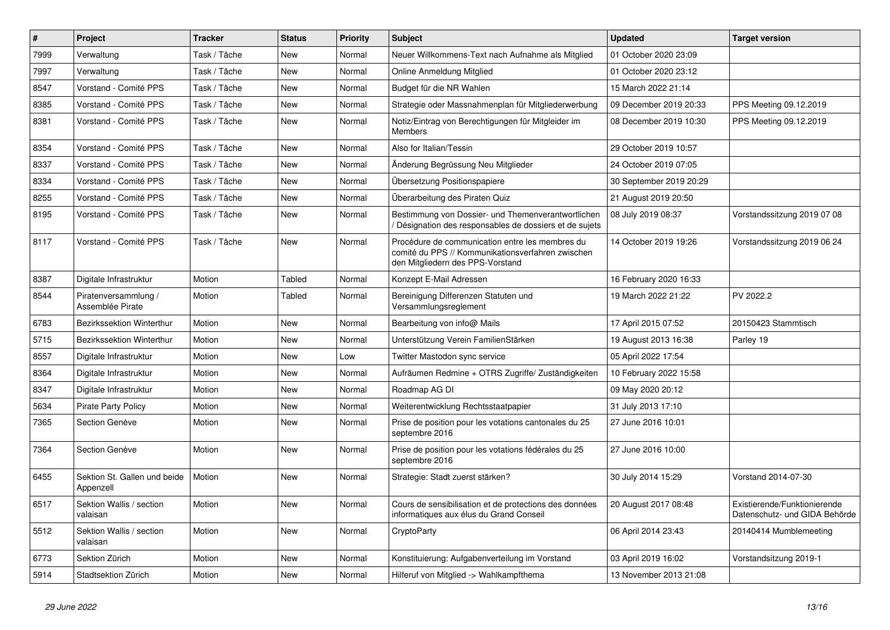| $\pmb{\#}$ | Project                                   | <b>Tracker</b> | <b>Status</b> | <b>Priority</b> | <b>Subject</b>                                                                                                                           | <b>Updated</b>          | <b>Target version</b>                                         |
|------------|-------------------------------------------|----------------|---------------|-----------------|------------------------------------------------------------------------------------------------------------------------------------------|-------------------------|---------------------------------------------------------------|
| 7999       | Verwaltung                                | Task / Tâche   | New           | Normal          | Neuer Willkommens-Text nach Aufnahme als Mitglied                                                                                        | 01 October 2020 23:09   |                                                               |
| 7997       | Verwaltung                                | Task / Tâche   | <b>New</b>    | Normal          | Online Anmeldung Mitglied                                                                                                                | 01 October 2020 23:12   |                                                               |
| 8547       | Vorstand - Comité PPS                     | Task / Tâche   | New           | Normal          | Budget für die NR Wahlen                                                                                                                 | 15 March 2022 21:14     |                                                               |
| 8385       | Vorstand - Comité PPS                     | Task / Tâche   | New           | Normal          | Strategie oder Massnahmenplan für Mitgliederwerbung                                                                                      | 09 December 2019 20:33  | PPS Meeting 09.12.2019                                        |
| 8381       | Vorstand - Comité PPS                     | Task / Tâche   | New           | Normal          | Notiz/Eintrag von Berechtigungen für Mitgleider im<br><b>Members</b>                                                                     | 08 December 2019 10:30  | PPS Meeting 09.12.2019                                        |
| 8354       | Vorstand - Comité PPS                     | Task / Tâche   | <b>New</b>    | Normal          | Also for Italian/Tessin                                                                                                                  | 29 October 2019 10:57   |                                                               |
| 8337       | Vorstand - Comité PPS                     | Task / Tâche   | <b>New</b>    | Normal          | Änderung Begrüssung Neu Mitglieder                                                                                                       | 24 October 2019 07:05   |                                                               |
| 8334       | Vorstand - Comité PPS                     | Task / Tâche   | <b>New</b>    | Normal          | Übersetzung Positionspapiere                                                                                                             | 30 September 2019 20:29 |                                                               |
| 8255       | Vorstand - Comité PPS                     | Task / Tâche   | <b>New</b>    | Normal          | Überarbeitung des Piraten Quiz                                                                                                           | 21 August 2019 20:50    |                                                               |
| 8195       | Vorstand - Comité PPS                     | Task / Tâche   | <b>New</b>    | Normal          | Bestimmung von Dossier- und Themenverantwortlichen<br>Désignation des responsables de dossiers et de sujets                              | 08 July 2019 08:37      | Vorstandssitzung 2019 07 08                                   |
| 8117       | Vorstand - Comité PPS                     | Task / Tâche   | New           | Normal          | Procédure de communication entre les membres du<br>comité du PPS // Kommunikationsverfahren zwischen<br>den Mitgliedern des PPS-Vorstand | 14 October 2019 19:26   | Vorstandssitzung 2019 06 24                                   |
| 8387       | Digitale Infrastruktur                    | Motion         | Tabled        | Normal          | Konzept E-Mail Adressen                                                                                                                  | 16 February 2020 16:33  |                                                               |
| 8544       | Piratenversammlung /<br>Assemblée Pirate  | Motion         | Tabled        | Normal          | Bereinigung Differenzen Statuten und<br>Versammlungsreglement                                                                            | 19 March 2022 21:22     | PV 2022.2                                                     |
| 6783       | Bezirkssektion Winterthur                 | Motion         | <b>New</b>    | Normal          | Bearbeitung von info@ Mails                                                                                                              | 17 April 2015 07:52     | 20150423 Stammtisch                                           |
| 5715       | Bezirkssektion Winterthur                 | Motion         | New           | Normal          | Unterstützung Verein FamilienStärken                                                                                                     | 19 August 2013 16:38    | Parley 19                                                     |
| 8557       | Digitale Infrastruktur                    | Motion         | New           | Low             | Twitter Mastodon sync service                                                                                                            | 05 April 2022 17:54     |                                                               |
| 8364       | Digitale Infrastruktur                    | Motion         | New           | Normal          | Aufräumen Redmine + OTRS Zugriffe/ Zuständigkeiten                                                                                       | 10 February 2022 15:58  |                                                               |
| 8347       | Digitale Infrastruktur                    | Motion         | New           | Normal          | Roadmap AG DI                                                                                                                            | 09 May 2020 20:12       |                                                               |
| 5634       | <b>Pirate Party Policy</b>                | Motion         | New           | Normal          | Weiterentwicklung Rechtsstaatpapier                                                                                                      | 31 July 2013 17:10      |                                                               |
| 7365       | Section Genève                            | Motion         | New           | Normal          | Prise de position pour les votations cantonales du 25<br>septembre 2016                                                                  | 27 June 2016 10:01      |                                                               |
| 7364       | Section Genève                            | Motion         | <b>New</b>    | Normal          | Prise de position pour les votations fédérales du 25<br>septembre 2016                                                                   | 27 June 2016 10:00      |                                                               |
| 6455       | Sektion St. Gallen und beide<br>Appenzell | Motion         | <b>New</b>    | Normal          | Strategie: Stadt zuerst stärken?                                                                                                         | 30 July 2014 15:29      | Vorstand 2014-07-30                                           |
| 6517       | Sektion Wallis / section<br>valaisan      | Motion         | <b>New</b>    | Normal          | Cours de sensibilisation et de protections des données<br>informatiques aux élus du Grand Conseil                                        | 20 August 2017 08:48    | Existierende/Funktionierende<br>Datenschutz- und GIDA Behörde |
| 5512       | Sektion Wallis / section<br>valaisan      | Motion         | <b>New</b>    | Normal          | CryptoParty                                                                                                                              | 06 April 2014 23:43     | 20140414 Mumblemeeting                                        |
| 6773       | Sektion Zürich                            | Motion         | New           | Normal          | Konstituierung: Aufgabenverteilung im Vorstand                                                                                           | 03 April 2019 16:02     | Vorstandsitzung 2019-1                                        |
| 5914       | Stadtsektion Zürich                       | Motion         | New           | Normal          | Hilferuf von Mitglied -> Wahlkampfthema                                                                                                  | 13 November 2013 21:08  |                                                               |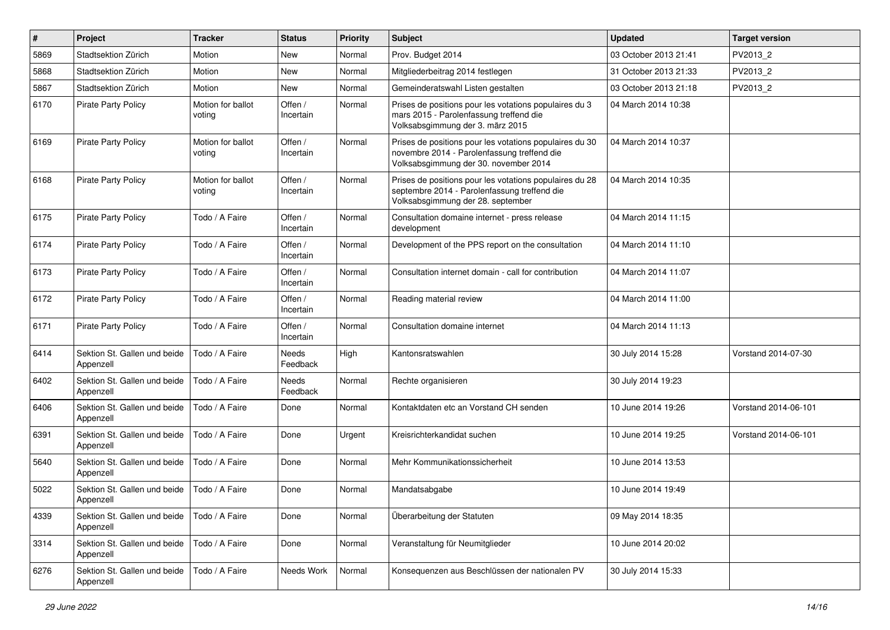| #    | Project                                   | <b>Tracker</b>              | <b>Status</b>        | <b>Priority</b> | Subject                                                                                                                                         | <b>Updated</b>        | <b>Target version</b> |
|------|-------------------------------------------|-----------------------------|----------------------|-----------------|-------------------------------------------------------------------------------------------------------------------------------------------------|-----------------------|-----------------------|
| 5869 | Stadtsektion Zürich                       | Motion                      | <b>New</b>           | Normal          | Prov. Budget 2014                                                                                                                               | 03 October 2013 21:41 | PV2013 2              |
| 5868 | Stadtsektion Zürich                       | Motion                      | <b>New</b>           | Normal          | Mitgliederbeitrag 2014 festlegen                                                                                                                | 31 October 2013 21:33 | PV2013_2              |
| 5867 | Stadtsektion Zürich                       | Motion                      | New                  | Normal          | Gemeinderatswahl Listen gestalten                                                                                                               | 03 October 2013 21:18 | PV2013 2              |
| 6170 | <b>Pirate Party Policy</b>                | Motion for ballot<br>voting | Offen /<br>Incertain | Normal          | Prises de positions pour les votations populaires du 3<br>mars 2015 - Parolenfassung treffend die<br>Volksabsgimmung der 3. märz 2015           | 04 March 2014 10:38   |                       |
| 6169 | <b>Pirate Party Policy</b>                | Motion for ballot<br>voting | Offen /<br>Incertain | Normal          | Prises de positions pour les votations populaires du 30<br>novembre 2014 - Parolenfassung treffend die<br>Volksabsgimmung der 30. november 2014 | 04 March 2014 10:37   |                       |
| 6168 | <b>Pirate Party Policy</b>                | Motion for ballot<br>voting | Offen /<br>Incertain | Normal          | Prises de positions pour les votations populaires du 28<br>septembre 2014 - Parolenfassung treffend die<br>Volksabsgimmung der 28. september    | 04 March 2014 10:35   |                       |
| 6175 | <b>Pirate Party Policy</b>                | Todo / A Faire              | Offen /<br>Incertain | Normal          | Consultation domaine internet - press release<br>development                                                                                    | 04 March 2014 11:15   |                       |
| 6174 | Pirate Party Policy                       | Todo / A Faire              | Offen /<br>Incertain | Normal          | Development of the PPS report on the consultation                                                                                               | 04 March 2014 11:10   |                       |
| 6173 | <b>Pirate Party Policy</b>                | Todo / A Faire              | Offen /<br>Incertain | Normal          | Consultation internet domain - call for contribution                                                                                            | 04 March 2014 11:07   |                       |
| 6172 | <b>Pirate Party Policy</b>                | Todo / A Faire              | Offen /<br>Incertain | Normal          | Reading material review                                                                                                                         | 04 March 2014 11:00   |                       |
| 6171 | <b>Pirate Party Policy</b>                | Todo / A Faire              | Offen /<br>Incertain | Normal          | Consultation domaine internet                                                                                                                   | 04 March 2014 11:13   |                       |
| 6414 | Sektion St. Gallen und beide<br>Appenzell | Todo / A Faire              | Needs<br>Feedback    | High            | Kantonsratswahlen                                                                                                                               | 30 July 2014 15:28    | Vorstand 2014-07-30   |
| 6402 | Sektion St. Gallen und beide<br>Appenzell | Todo / A Faire              | Needs<br>Feedback    | Normal          | Rechte organisieren                                                                                                                             | 30 July 2014 19:23    |                       |
| 6406 | Sektion St. Gallen und beide<br>Appenzell | Todo / A Faire              | Done                 | Normal          | Kontaktdaten etc an Vorstand CH senden                                                                                                          | 10 June 2014 19:26    | Vorstand 2014-06-101  |
| 6391 | Sektion St. Gallen und beide<br>Appenzell | Todo / A Faire              | Done                 | Urgent          | Kreisrichterkandidat suchen                                                                                                                     | 10 June 2014 19:25    | Vorstand 2014-06-101  |
| 5640 | Sektion St. Gallen und beide<br>Appenzell | Todo / A Faire              | Done                 | Normal          | Mehr Kommunikationssicherheit                                                                                                                   | 10 June 2014 13:53    |                       |
| 5022 | Sektion St. Gallen und beide<br>Appenzell | Todo / A Faire              | Done                 | Normal          | Mandatsabgabe                                                                                                                                   | 10 June 2014 19:49    |                       |
| 4339 | Sektion St. Gallen und beide<br>Appenzell | Todo / A Faire              | Done                 | Normal          | Überarbeitung der Statuten                                                                                                                      | 09 May 2014 18:35     |                       |
| 3314 | Sektion St. Gallen und beide<br>Appenzell | Todo / A Faire              | Done                 | Normal          | Veranstaltung für Neumitglieder                                                                                                                 | 10 June 2014 20:02    |                       |
| 6276 | Sektion St. Gallen und beide<br>Appenzell | Todo / A Faire              | Needs Work           | Normal          | Konsequenzen aus Beschlüssen der nationalen PV                                                                                                  | 30 July 2014 15:33    |                       |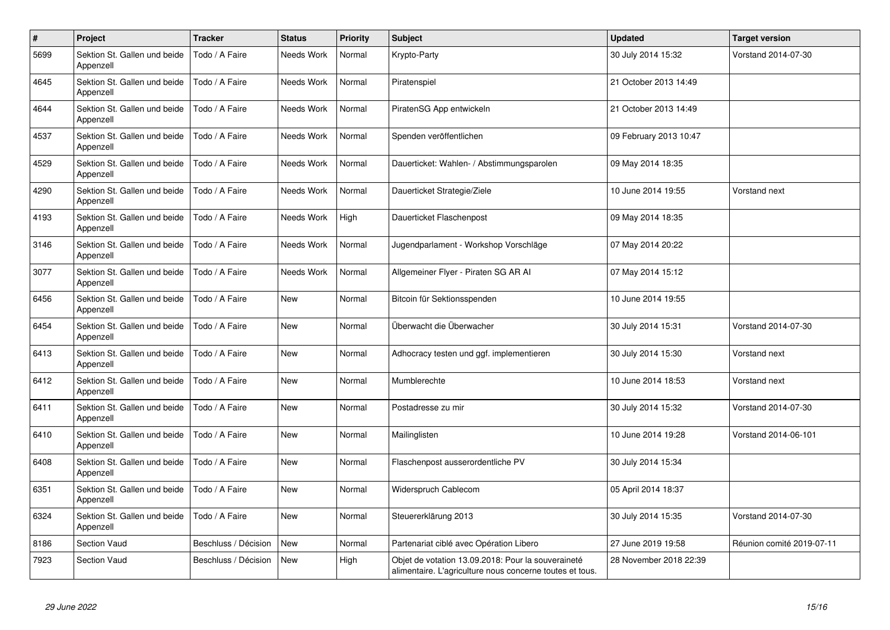| $\#$ | Project                                   | <b>Tracker</b>       | <b>Status</b>     | <b>Priority</b> | <b>Subject</b>                                                                                                 | <b>Updated</b>         | <b>Target version</b>     |
|------|-------------------------------------------|----------------------|-------------------|-----------------|----------------------------------------------------------------------------------------------------------------|------------------------|---------------------------|
| 5699 | Sektion St. Gallen und beide<br>Appenzell | Todo / A Faire       | <b>Needs Work</b> | Normal          | Krypto-Party                                                                                                   | 30 July 2014 15:32     | Vorstand 2014-07-30       |
| 4645 | Sektion St. Gallen und beide<br>Appenzell | Todo / A Faire       | Needs Work        | Normal          | Piratenspiel                                                                                                   | 21 October 2013 14:49  |                           |
| 4644 | Sektion St. Gallen und beide<br>Appenzell | Todo / A Faire       | Needs Work        | Normal          | PiratenSG App entwickeln                                                                                       | 21 October 2013 14:49  |                           |
| 4537 | Sektion St. Gallen und beide<br>Appenzell | Todo / A Faire       | Needs Work        | Normal          | Spenden veröffentlichen                                                                                        | 09 February 2013 10:47 |                           |
| 4529 | Sektion St. Gallen und beide<br>Appenzell | Todo / A Faire       | Needs Work        | Normal          | Dauerticket: Wahlen- / Abstimmungsparolen                                                                      | 09 May 2014 18:35      |                           |
| 4290 | Sektion St. Gallen und beide<br>Appenzell | Todo / A Faire       | Needs Work        | Normal          | Dauerticket Strategie/Ziele                                                                                    | 10 June 2014 19:55     | Vorstand next             |
| 4193 | Sektion St. Gallen und beide<br>Appenzell | Todo / A Faire       | Needs Work        | High            | Dauerticket Flaschenpost                                                                                       | 09 May 2014 18:35      |                           |
| 3146 | Sektion St. Gallen und beide<br>Appenzell | Todo / A Faire       | Needs Work        | Normal          | Jugendparlament - Workshop Vorschläge                                                                          | 07 May 2014 20:22      |                           |
| 3077 | Sektion St. Gallen und beide<br>Appenzell | Todo / A Faire       | Needs Work        | Normal          | Allgemeiner Flyer - Piraten SG AR Al                                                                           | 07 May 2014 15:12      |                           |
| 6456 | Sektion St. Gallen und beide<br>Appenzell | Todo / A Faire       | New               | Normal          | Bitcoin für Sektionsspenden                                                                                    | 10 June 2014 19:55     |                           |
| 6454 | Sektion St. Gallen und beide<br>Appenzell | Todo / A Faire       | <b>New</b>        | Normal          | Überwacht die Überwacher                                                                                       | 30 July 2014 15:31     | Vorstand 2014-07-30       |
| 6413 | Sektion St. Gallen und beide<br>Appenzell | Todo / A Faire       | <b>New</b>        | Normal          | Adhocracy testen und ggf. implementieren                                                                       | 30 July 2014 15:30     | Vorstand next             |
| 6412 | Sektion St. Gallen und beide<br>Appenzell | Todo / A Faire       | <b>New</b>        | Normal          | Mumblerechte                                                                                                   | 10 June 2014 18:53     | Vorstand next             |
| 6411 | Sektion St. Gallen und beide<br>Appenzell | Todo / A Faire       | New               | Normal          | Postadresse zu mir                                                                                             | 30 July 2014 15:32     | Vorstand 2014-07-30       |
| 6410 | Sektion St. Gallen und beide<br>Appenzell | Todo / A Faire       | New               | Normal          | Mailinglisten                                                                                                  | 10 June 2014 19:28     | Vorstand 2014-06-101      |
| 6408 | Sektion St. Gallen und beide<br>Appenzell | Todo / A Faire       | <b>New</b>        | Normal          | Flaschenpost ausserordentliche PV                                                                              | 30 July 2014 15:34     |                           |
| 6351 | Sektion St. Gallen und beide<br>Appenzell | Todo / A Faire       | New               | Normal          | Widerspruch Cablecom                                                                                           | 05 April 2014 18:37    |                           |
| 6324 | Sektion St. Gallen und beide<br>Appenzell | Todo / A Faire       | New               | Normal          | Steuererklärung 2013                                                                                           | 30 July 2014 15:35     | Vorstand 2014-07-30       |
| 8186 | Section Vaud                              | Beschluss / Décision | <b>New</b>        | Normal          | Partenariat ciblé avec Opération Libero                                                                        | 27 June 2019 19:58     | Réunion comité 2019-07-11 |
| 7923 | <b>Section Vaud</b>                       | Beschluss / Décision | New               | High            | Objet de votation 13.09.2018: Pour la souveraineté<br>alimentaire. L'agriculture nous concerne toutes et tous. | 28 November 2018 22:39 |                           |